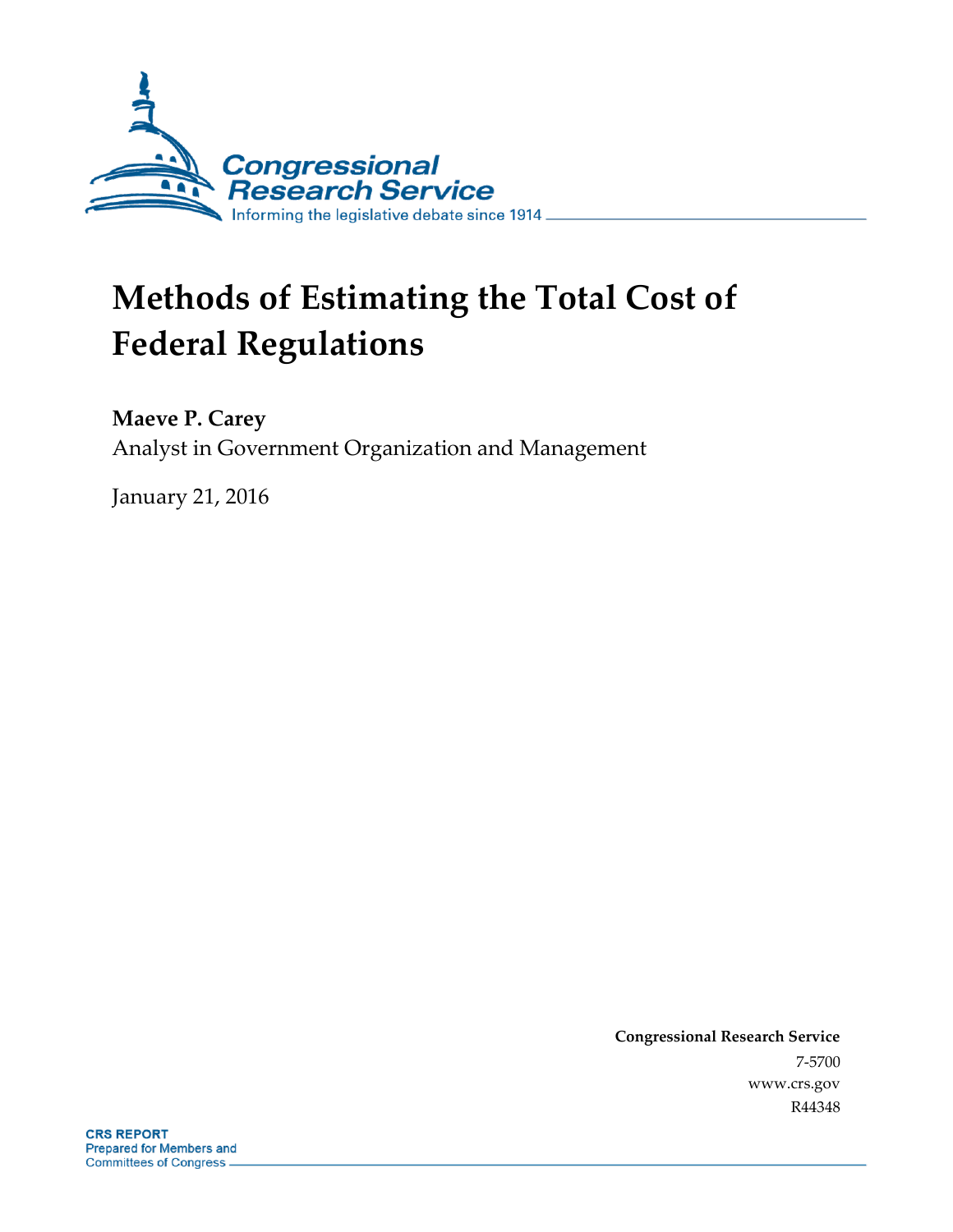

# **Methods of Estimating the Total Cost of Federal Regulations**

**Maeve P. Carey**

Analyst in Government Organization and Management

January 21, 2016

**Congressional Research Service** 7-5700 www.crs.gov R44348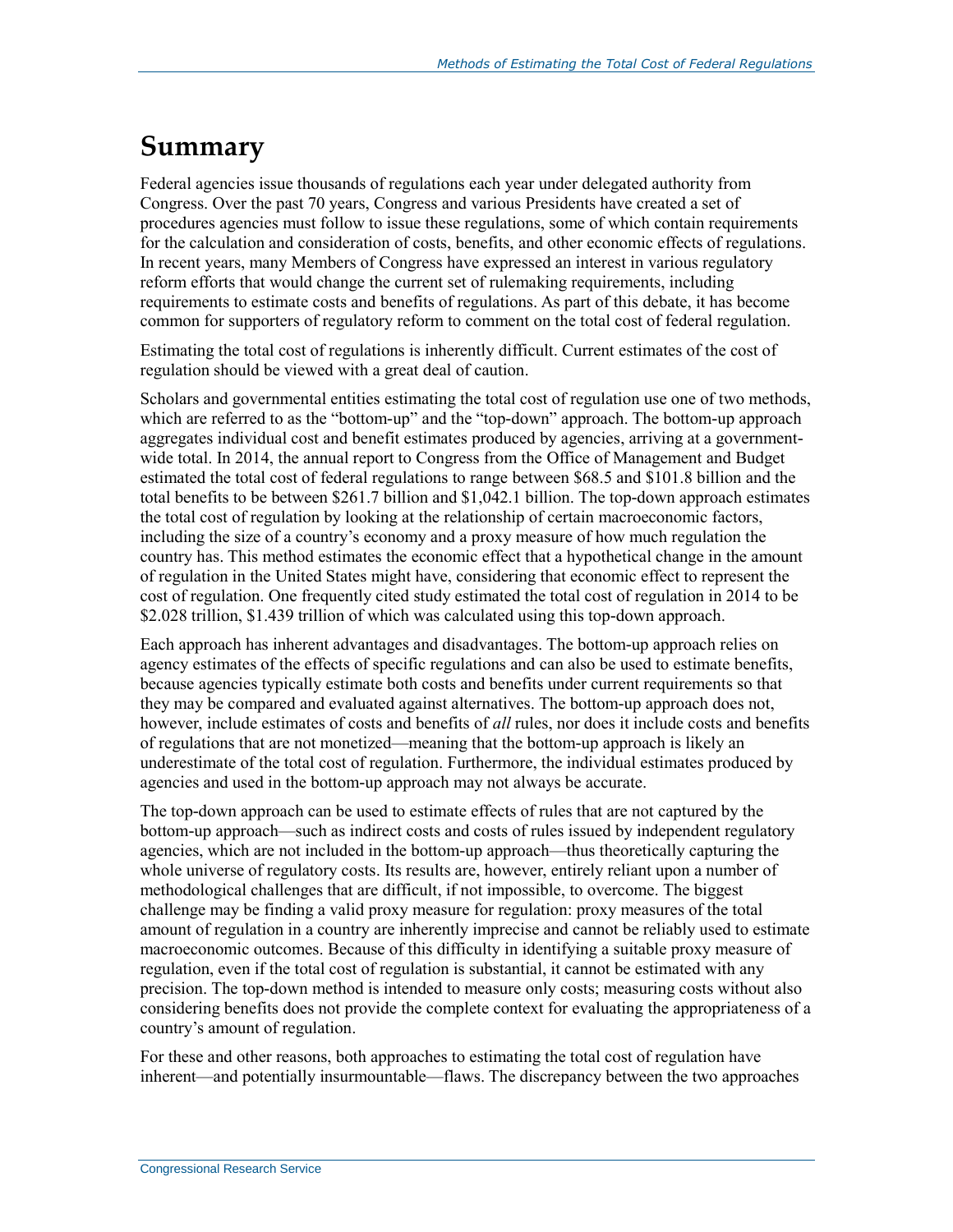## **Summary**

Federal agencies issue thousands of regulations each year under delegated authority from Congress. Over the past 70 years, Congress and various Presidents have created a set of procedures agencies must follow to issue these regulations, some of which contain requirements for the calculation and consideration of costs, benefits, and other economic effects of regulations. In recent years, many Members of Congress have expressed an interest in various regulatory reform efforts that would change the current set of rulemaking requirements, including requirements to estimate costs and benefits of regulations. As part of this debate, it has become common for supporters of regulatory reform to comment on the total cost of federal regulation.

Estimating the total cost of regulations is inherently difficult. Current estimates of the cost of regulation should be viewed with a great deal of caution.

Scholars and governmental entities estimating the total cost of regulation use one of two methods, which are referred to as the "bottom-up" and the "top-down" approach. The bottom-up approach aggregates individual cost and benefit estimates produced by agencies, arriving at a governmentwide total. In 2014, the annual report to Congress from the Office of Management and Budget estimated the total cost of federal regulations to range between \$68.5 and \$101.8 billion and the total benefits to be between \$261.7 billion and \$1,042.1 billion. The top-down approach estimates the total cost of regulation by looking at the relationship of certain macroeconomic factors, including the size of a country's economy and a proxy measure of how much regulation the country has. This method estimates the economic effect that a hypothetical change in the amount of regulation in the United States might have, considering that economic effect to represent the cost of regulation. One frequently cited study estimated the total cost of regulation in 2014 to be \$2.028 trillion, \$1.439 trillion of which was calculated using this top-down approach.

Each approach has inherent advantages and disadvantages. The bottom-up approach relies on agency estimates of the effects of specific regulations and can also be used to estimate benefits, because agencies typically estimate both costs and benefits under current requirements so that they may be compared and evaluated against alternatives. The bottom-up approach does not, however, include estimates of costs and benefits of *all* rules, nor does it include costs and benefits of regulations that are not monetized—meaning that the bottom-up approach is likely an underestimate of the total cost of regulation. Furthermore, the individual estimates produced by agencies and used in the bottom-up approach may not always be accurate.

The top-down approach can be used to estimate effects of rules that are not captured by the bottom-up approach—such as indirect costs and costs of rules issued by independent regulatory agencies, which are not included in the bottom-up approach—thus theoretically capturing the whole universe of regulatory costs. Its results are, however, entirely reliant upon a number of methodological challenges that are difficult, if not impossible, to overcome. The biggest challenge may be finding a valid proxy measure for regulation: proxy measures of the total amount of regulation in a country are inherently imprecise and cannot be reliably used to estimate macroeconomic outcomes. Because of this difficulty in identifying a suitable proxy measure of regulation, even if the total cost of regulation is substantial, it cannot be estimated with any precision. The top-down method is intended to measure only costs; measuring costs without also considering benefits does not provide the complete context for evaluating the appropriateness of a country's amount of regulation.

For these and other reasons, both approaches to estimating the total cost of regulation have inherent—and potentially insurmountable—flaws. The discrepancy between the two approaches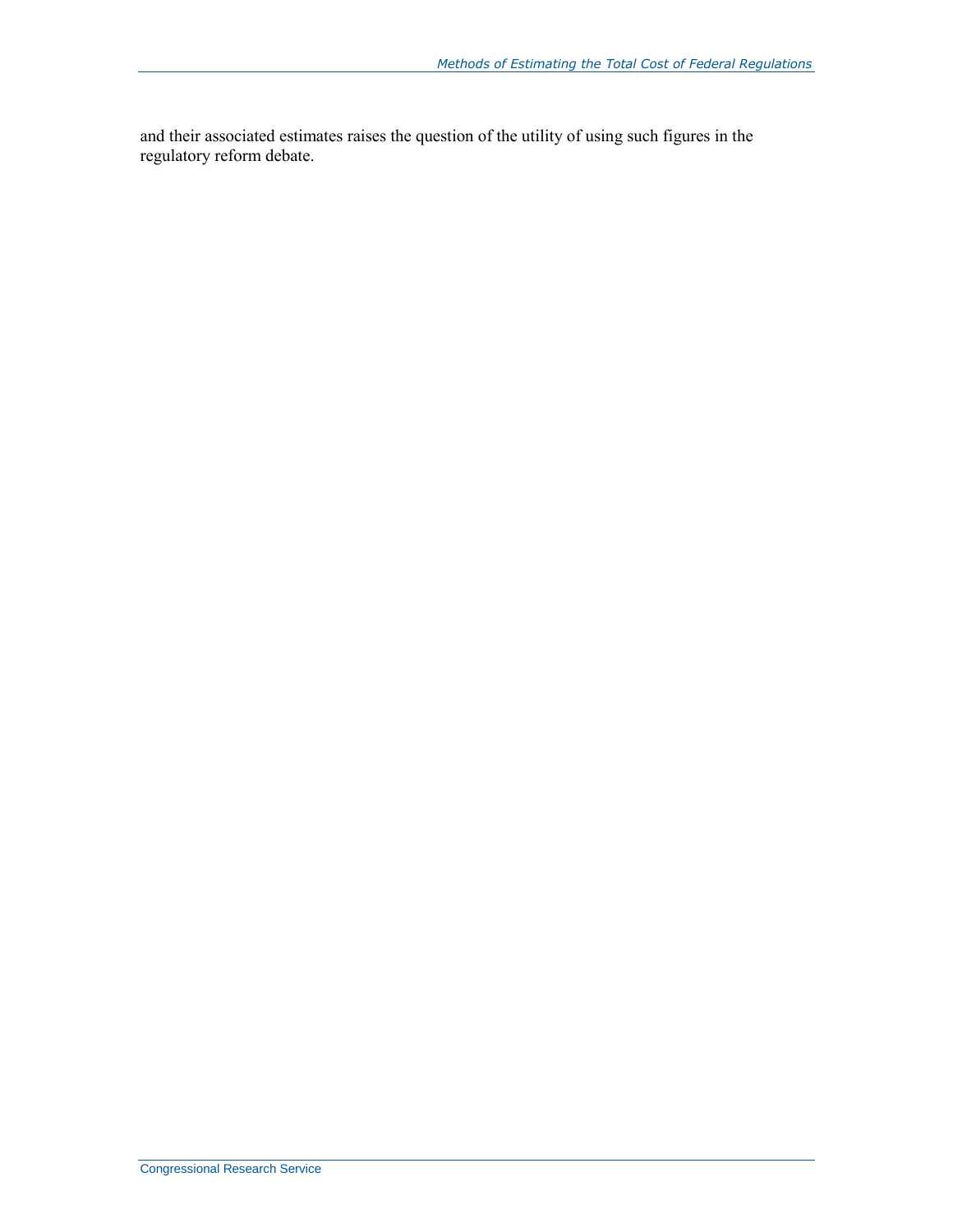and their associated estimates raises the question of the utility of using such figures in the regulatory reform debate.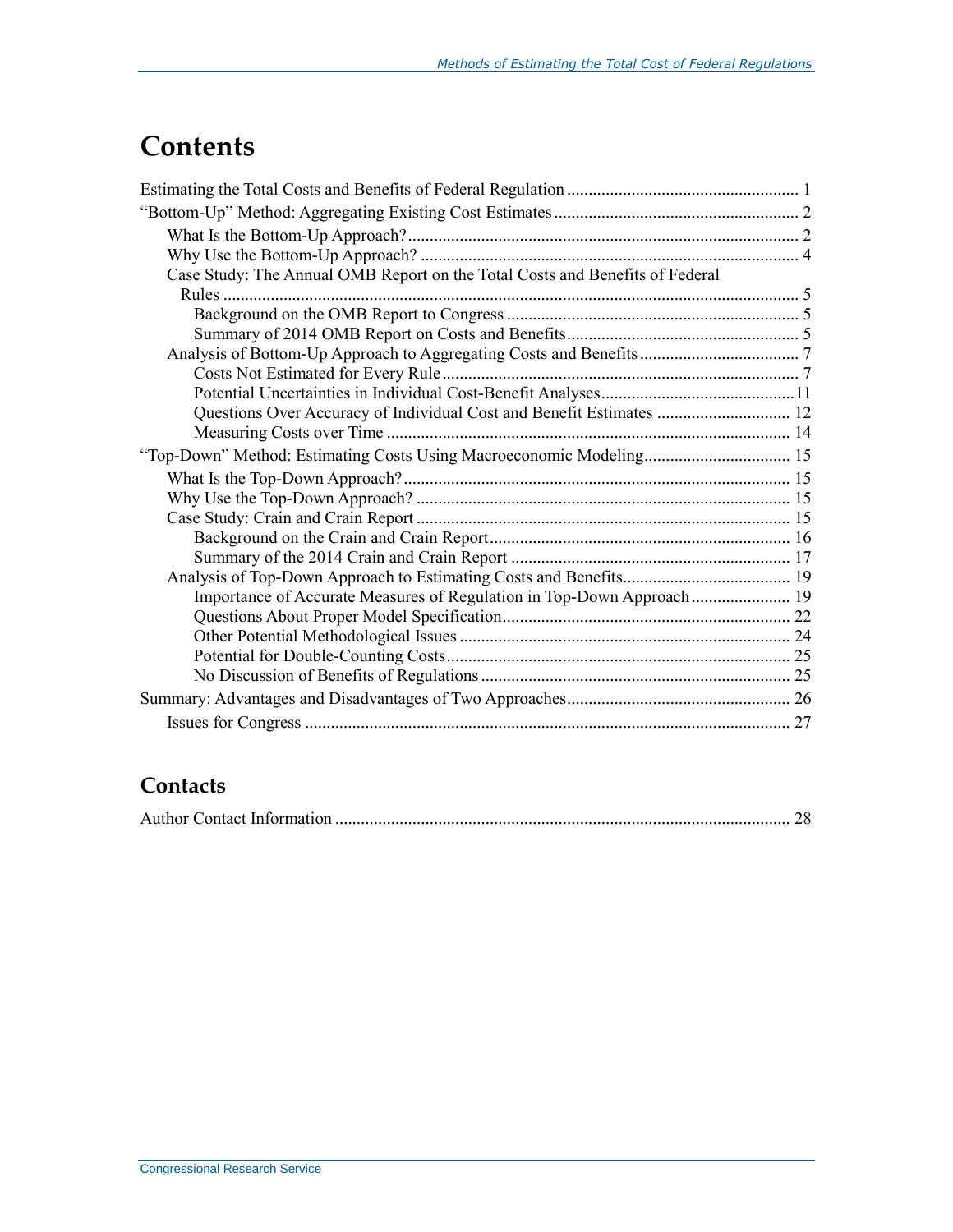## **Contents**

| Case Study: The Annual OMB Report on the Total Costs and Benefits of Federal |  |
|------------------------------------------------------------------------------|--|
|                                                                              |  |
|                                                                              |  |
|                                                                              |  |
|                                                                              |  |
|                                                                              |  |
|                                                                              |  |
| Questions Over Accuracy of Individual Cost and Benefit Estimates  12         |  |
|                                                                              |  |
| "Top-Down" Method: Estimating Costs Using Macroeconomic Modeling 15          |  |
|                                                                              |  |
|                                                                              |  |
|                                                                              |  |
|                                                                              |  |
|                                                                              |  |
|                                                                              |  |
| Importance of Accurate Measures of Regulation in Top-Down Approach 19        |  |
|                                                                              |  |
|                                                                              |  |
|                                                                              |  |
|                                                                              |  |
|                                                                              |  |
|                                                                              |  |
|                                                                              |  |

### **Contacts**

|--|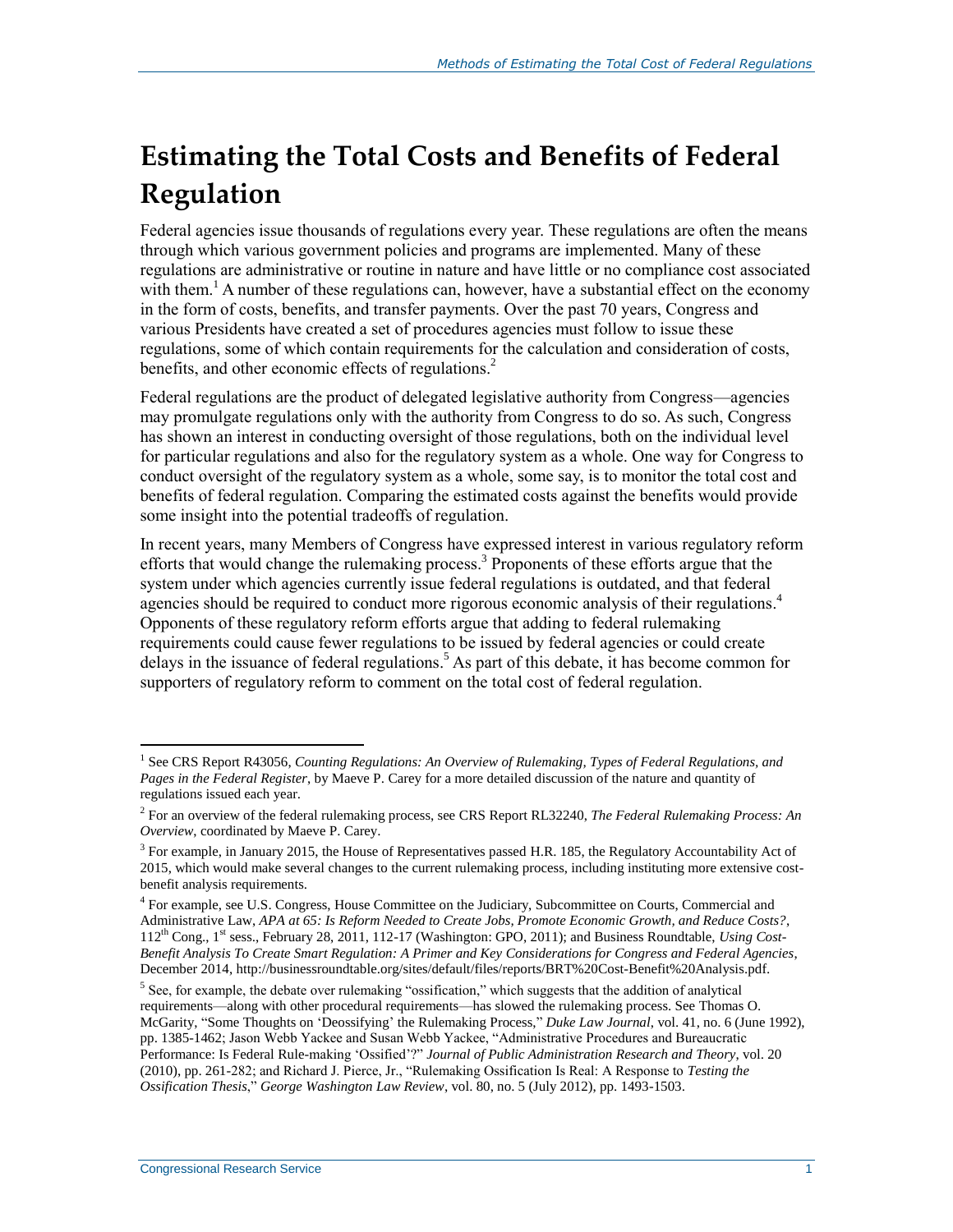## **Estimating the Total Costs and Benefits of Federal Regulation**

Federal agencies issue thousands of regulations every year. These regulations are often the means through which various government policies and programs are implemented. Many of these regulations are administrative or routine in nature and have little or no compliance cost associated with them.<sup>1</sup> A number of these regulations can, however, have a substantial effect on the economy in the form of costs, benefits, and transfer payments. Over the past 70 years, Congress and various Presidents have created a set of procedures agencies must follow to issue these regulations, some of which contain requirements for the calculation and consideration of costs, benefits, and other economic effects of regulations.<sup>2</sup>

Federal regulations are the product of delegated legislative authority from Congress—agencies may promulgate regulations only with the authority from Congress to do so. As such, Congress has shown an interest in conducting oversight of those regulations, both on the individual level for particular regulations and also for the regulatory system as a whole. One way for Congress to conduct oversight of the regulatory system as a whole, some say, is to monitor the total cost and benefits of federal regulation. Comparing the estimated costs against the benefits would provide some insight into the potential tradeoffs of regulation.

In recent years, many Members of Congress have expressed interest in various regulatory reform efforts that would change the rulemaking process.<sup>3</sup> Proponents of these efforts argue that the system under which agencies currently issue federal regulations is outdated, and that federal agencies should be required to conduct more rigorous economic analysis of their regulations.<sup>4</sup> Opponents of these regulatory reform efforts argue that adding to federal rulemaking requirements could cause fewer regulations to be issued by federal agencies or could create delays in the issuance of federal regulations. <sup>5</sup> As part of this debate, it has become common for supporters of regulatory reform to comment on the total cost of federal regulation.

<sup>&</sup>lt;sup>1</sup> See CRS Report R43056, *Counting Regulations: An Overview of Rulemaking, Types of Federal Regulations, and Pages in the Federal Register*, by Maeve P. Carey for a more detailed discussion of the nature and quantity of regulations issued each year.

<sup>2</sup> For an overview of the federal rulemaking process, see CRS Report RL32240, *The Federal Rulemaking Process: An Overview*, coordinated by Maeve P. Carey.

 $3$  For example, in January 2015, the House of Representatives passed H.R. 185, the Regulatory Accountability Act of 2015, which would make several changes to the current rulemaking process, including instituting more extensive costbenefit analysis requirements.

<sup>4</sup> For example, see U.S. Congress, House Committee on the Judiciary, Subcommittee on Courts, Commercial and Administrative Law, *APA at 65: Is Reform Needed to Create Jobs, Promote Economic Growth, and Reduce Costs?*, 112th Cong., 1st sess., February 28, 2011, 112-17 (Washington: GPO, 2011); and Business Roundtable, *Using Cost-Benefit Analysis To Create Smart Regulation: A Primer and Key Considerations for Congress and Federal Agencies*, December 2014, http://businessroundtable.org/sites/default/files/reports/BRT%20Cost-Benefit%20Analysis.pdf.

<sup>&</sup>lt;sup>5</sup> See, for example, the debate over rulemaking "ossification," which suggests that the addition of analytical requirements—along with other procedural requirements—has slowed the rulemaking process. See Thomas O. McGarity, "Some Thoughts on 'Deossifying' the Rulemaking Process," *Duke Law Journal*, vol. 41, no. 6 (June 1992), pp. 1385-1462; Jason Webb Yackee and Susan Webb Yackee, "Administrative Procedures and Bureaucratic Performance: Is Federal Rule-making 'Ossified'?" *Journal of Public Administration Research and Theory*, vol. 20 (2010), pp. 261-282; and Richard J. Pierce, Jr., "Rulemaking Ossification Is Real: A Response to *Testing the Ossification Thesis*," *George Washington Law Review*, vol. 80, no. 5 (July 2012), pp. 1493-1503.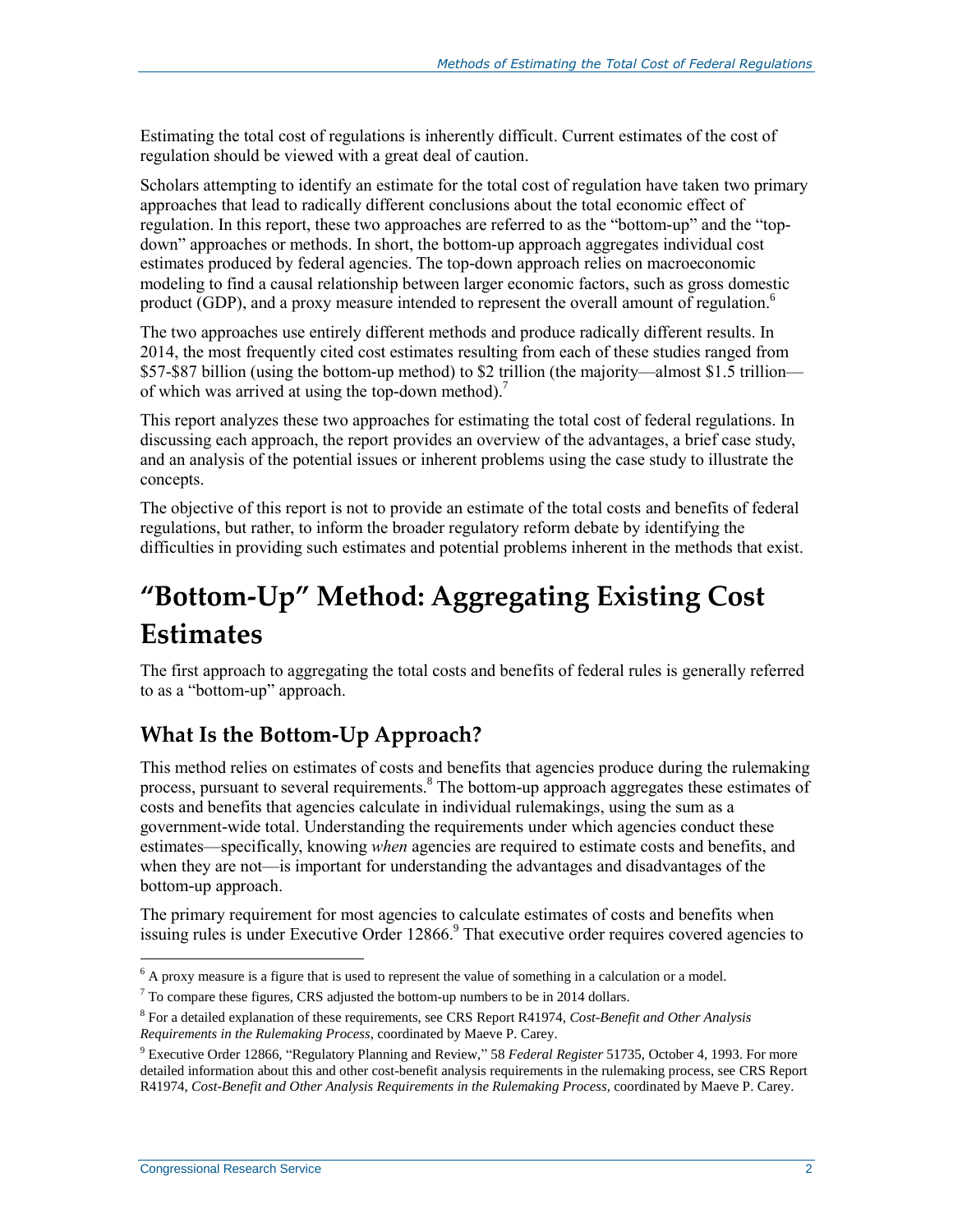Estimating the total cost of regulations is inherently difficult. Current estimates of the cost of regulation should be viewed with a great deal of caution.

Scholars attempting to identify an estimate for the total cost of regulation have taken two primary approaches that lead to radically different conclusions about the total economic effect of regulation. In this report, these two approaches are referred to as the "bottom-up" and the "topdown" approaches or methods. In short, the bottom-up approach aggregates individual cost estimates produced by federal agencies. The top-down approach relies on macroeconomic modeling to find a causal relationship between larger economic factors, such as gross domestic product (GDP), and a proxy measure intended to represent the overall amount of regulation.<sup>6</sup>

The two approaches use entirely different methods and produce radically different results. In 2014, the most frequently cited cost estimates resulting from each of these studies ranged from \$57-\$87 billion (using the bottom-up method) to \$2 trillion (the majority—almost \$1.5 trillion of which was arrived at using the top-down method).<sup>7</sup>

This report analyzes these two approaches for estimating the total cost of federal regulations. In discussing each approach, the report provides an overview of the advantages, a brief case study, and an analysis of the potential issues or inherent problems using the case study to illustrate the concepts.

The objective of this report is not to provide an estimate of the total costs and benefits of federal regulations, but rather, to inform the broader regulatory reform debate by identifying the difficulties in providing such estimates and potential problems inherent in the methods that exist.

## **"Bottom-Up" Method: Aggregating Existing Cost Estimates**

The first approach to aggregating the total costs and benefits of federal rules is generally referred to as a "bottom-up" approach.

### **What Is the Bottom-Up Approach?**

This method relies on estimates of costs and benefits that agencies produce during the rulemaking process, pursuant to several requirements.<sup>8</sup> The bottom-up approach aggregates these estimates of costs and benefits that agencies calculate in individual rulemakings, using the sum as a government-wide total. Understanding the requirements under which agencies conduct these estimates—specifically, knowing *when* agencies are required to estimate costs and benefits, and when they are not—is important for understanding the advantages and disadvantages of the bottom-up approach.

The primary requirement for most agencies to calculate estimates of costs and benefits when issuing rules is under Executive Order 12866.<sup>9</sup> That executive order requires covered agencies to

 $6$  A proxy measure is a figure that is used to represent the value of something in a calculation or a model.

 $<sup>7</sup>$  To compare these figures, CRS adjusted the bottom-up numbers to be in 2014 dollars.</sup>

<sup>8</sup> For a detailed explanation of these requirements, see CRS Report R41974, *Cost-Benefit and Other Analysis Requirements in the Rulemaking Process*, coordinated by Maeve P. Carey.

<sup>9</sup> Executive Order 12866, "Regulatory Planning and Review," 58 *Federal Register* 51735, October 4, 1993. For more detailed information about this and other cost-benefit analysis requirements in the rulemaking process, see CRS Report R41974, *Cost-Benefit and Other Analysis Requirements in the Rulemaking Process*, coordinated by Maeve P. Carey.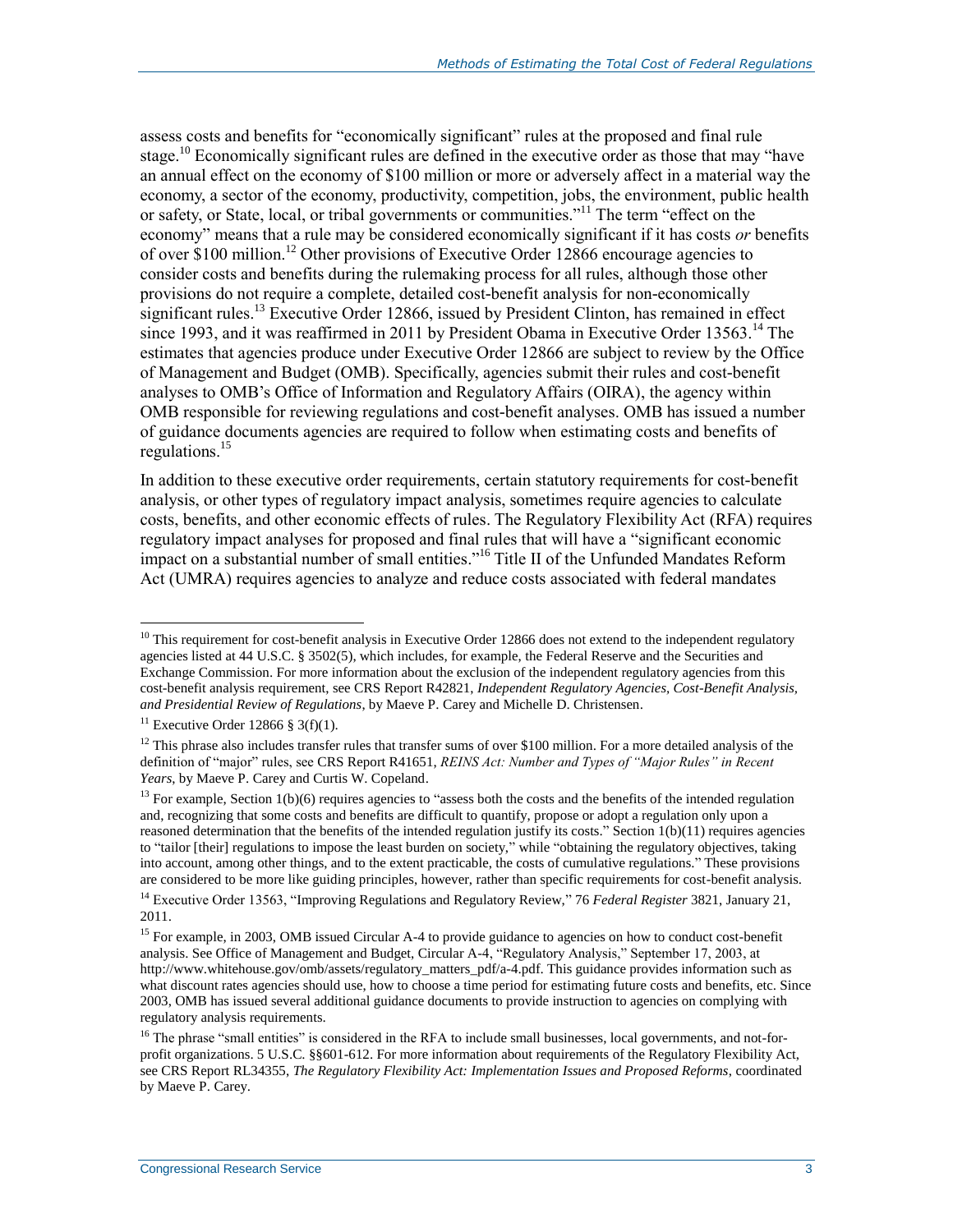assess costs and benefits for "economically significant" rules at the proposed and final rule stage.<sup>10</sup> Economically significant rules are defined in the executive order as those that may "have an annual effect on the economy of \$100 million or more or adversely affect in a material way the economy, a sector of the economy, productivity, competition, jobs, the environment, public health or safety, or State, local, or tribal governments or communities."<sup>11</sup> The term "effect on the economy" means that a rule may be considered economically significant if it has costs *or* benefits of over \$100 million.<sup>12</sup> Other provisions of Executive Order 12866 encourage agencies to consider costs and benefits during the rulemaking process for all rules, although those other provisions do not require a complete, detailed cost-benefit analysis for non-economically significant rules.<sup>13</sup> Executive Order 12866, issued by President Clinton, has remained in effect since 1993, and it was reaffirmed in 2011 by President Obama in Executive Order 13563.<sup>14</sup> The estimates that agencies produce under Executive Order 12866 are subject to review by the Office of Management and Budget (OMB). Specifically, agencies submit their rules and cost-benefit analyses to OMB's Office of Information and Regulatory Affairs (OIRA), the agency within OMB responsible for reviewing regulations and cost-benefit analyses. OMB has issued a number of guidance documents agencies are required to follow when estimating costs and benefits of regulations.<sup>15</sup>

In addition to these executive order requirements, certain statutory requirements for cost-benefit analysis, or other types of regulatory impact analysis, sometimes require agencies to calculate costs, benefits, and other economic effects of rules. The Regulatory Flexibility Act (RFA) requires regulatory impact analyses for proposed and final rules that will have a "significant economic impact on a substantial number of small entities."<sup>16</sup> Title II of the Unfunded Mandates Reform Act (UMRA) requires agencies to analyze and reduce costs associated with federal mandates

 $10$  This requirement for cost-benefit analysis in Executive Order 12866 does not extend to the independent regulatory agencies listed at 44 U.S.C. § 3502(5), which includes, for example, the Federal Reserve and the Securities and Exchange Commission. For more information about the exclusion of the independent regulatory agencies from this cost-benefit analysis requirement, see CRS Report R42821, *Independent Regulatory Agencies, Cost-Benefit Analysis, and Presidential Review of Regulations*, by Maeve P. Carey and Michelle D. Christensen.

<sup>&</sup>lt;sup>11</sup> Executive Order 12866 § 3(f)(1).

 $12$  This phrase also includes transfer rules that transfer sums of over \$100 million. For a more detailed analysis of the definition of "major" rules, see CRS Report R41651, *REINS Act: Number and Types of "Major Rules" in Recent Years*, by Maeve P. Carey and Curtis W. Copeland.

 $13$  For example, Section 1(b)(6) requires agencies to "assess both the costs and the benefits of the intended regulation and, recognizing that some costs and benefits are difficult to quantify, propose or adopt a regulation only upon a reasoned determination that the benefits of the intended regulation justify its costs." Section 1(b)(11) requires agencies to "tailor [their] regulations to impose the least burden on society," while "obtaining the regulatory objectives, taking into account, among other things, and to the extent practicable, the costs of cumulative regulations." These provisions are considered to be more like guiding principles, however, rather than specific requirements for cost-benefit analysis.

<sup>14</sup> Executive Order 13563, "Improving Regulations and Regulatory Review," 76 *Federal Register* 3821, January 21, 2011.

<sup>&</sup>lt;sup>15</sup> For example, in 2003, OMB issued Circular A-4 to provide guidance to agencies on how to conduct cost-benefit analysis. See Office of Management and Budget, Circular A-4, "Regulatory Analysis," September 17, 2003, at http://www.whitehouse.gov/omb/assets/regulatory\_matters\_pdf/a-4.pdf. This guidance provides information such as what discount rates agencies should use, how to choose a time period for estimating future costs and benefits, etc. Since 2003, OMB has issued several additional guidance documents to provide instruction to agencies on complying with regulatory analysis requirements.

<sup>&</sup>lt;sup>16</sup> The phrase "small entities" is considered in the RFA to include small businesses, local governments, and not-forprofit organizations. 5 U.S.C. §§601-612. For more information about requirements of the Regulatory Flexibility Act, see CRS Report RL34355, *The Regulatory Flexibility Act: Implementation Issues and Proposed Reforms*, coordinated by Maeve P. Carey.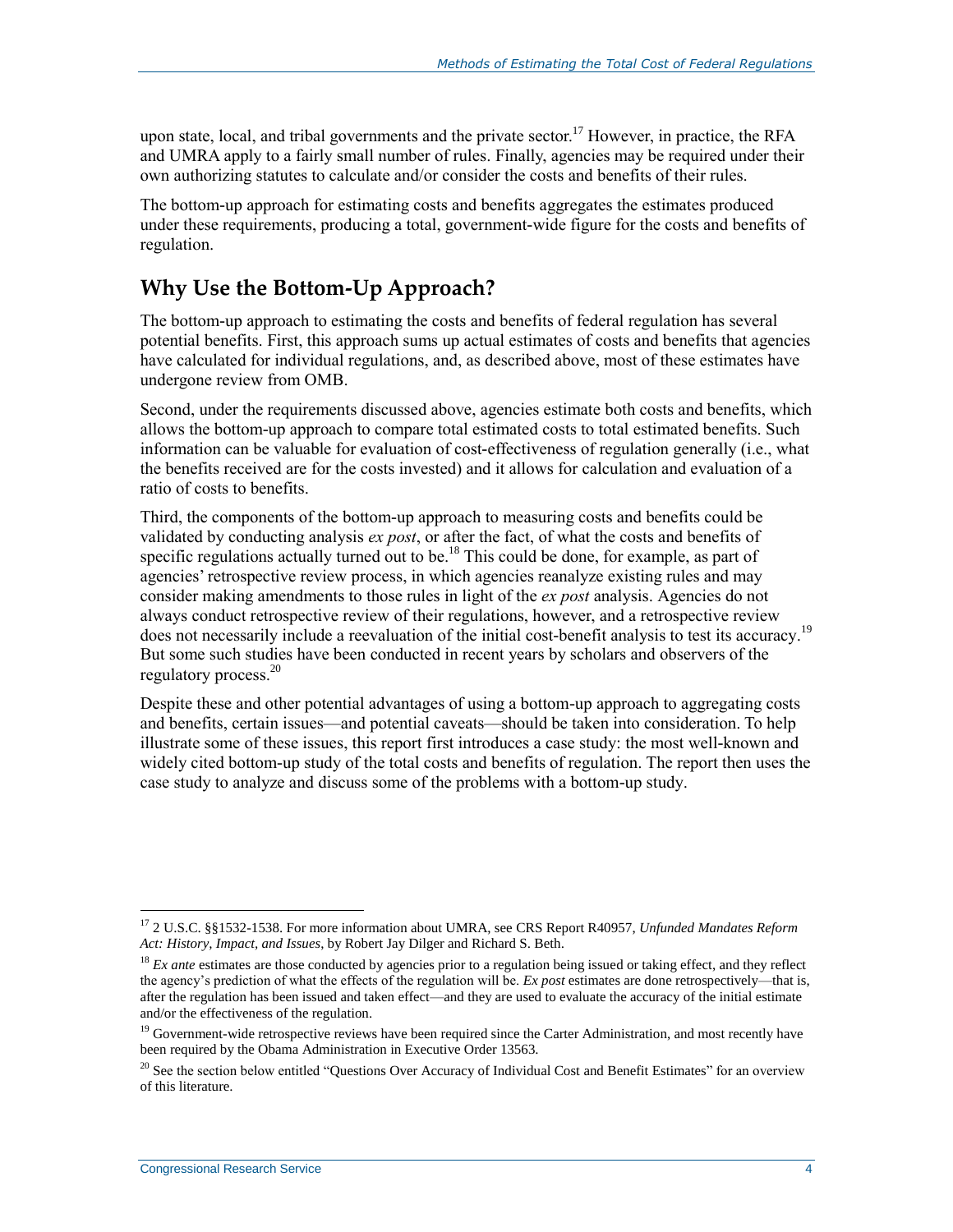upon state, local, and tribal governments and the private sector.<sup>17</sup> However, in practice, the RFA and UMRA apply to a fairly small number of rules. Finally, agencies may be required under their own authorizing statutes to calculate and/or consider the costs and benefits of their rules.

The bottom-up approach for estimating costs and benefits aggregates the estimates produced under these requirements, producing a total, government-wide figure for the costs and benefits of regulation.

### **Why Use the Bottom-Up Approach?**

The bottom-up approach to estimating the costs and benefits of federal regulation has several potential benefits. First, this approach sums up actual estimates of costs and benefits that agencies have calculated for individual regulations, and, as described above, most of these estimates have undergone review from OMB.

Second, under the requirements discussed above, agencies estimate both costs and benefits, which allows the bottom-up approach to compare total estimated costs to total estimated benefits. Such information can be valuable for evaluation of cost-effectiveness of regulation generally (i.e., what the benefits received are for the costs invested) and it allows for calculation and evaluation of a ratio of costs to benefits.

Third, the components of the bottom-up approach to measuring costs and benefits could be validated by conducting analysis *ex post*, or after the fact, of what the costs and benefits of specific regulations actually turned out to be.<sup>18</sup> This could be done, for example, as part of agencies' retrospective review process, in which agencies reanalyze existing rules and may consider making amendments to those rules in light of the *ex post* analysis. Agencies do not always conduct retrospective review of their regulations, however, and a retrospective review does not necessarily include a reevaluation of the initial cost-benefit analysis to test its accuracy.<sup>19</sup> But some such studies have been conducted in recent years by scholars and observers of the regulatory process. 20

Despite these and other potential advantages of using a bottom-up approach to aggregating costs and benefits, certain issues—and potential caveats—should be taken into consideration. To help illustrate some of these issues, this report first introduces a case study: the most well-known and widely cited bottom-up study of the total costs and benefits of regulation. The report then uses the case study to analyze and discuss some of the problems with a bottom-up study.

 $\overline{a}$ <sup>17</sup> 2 U.S.C. §§1532-1538. For more information about UMRA, see CRS Report R40957, *Unfunded Mandates Reform Act: History, Impact, and Issues*, by Robert Jay Dilger and Richard S. Beth.

<sup>&</sup>lt;sup>18</sup> *Ex ante* estimates are those conducted by agencies prior to a regulation being issued or taking effect, and they reflect the agency's prediction of what the effects of the regulation will be. *Ex post* estimates are done retrospectively—that is, after the regulation has been issued and taken effect—and they are used to evaluate the accuracy of the initial estimate and/or the effectiveness of the regulation.

 $19$  Government-wide retrospective reviews have been required since the Carter Administration, and most recently have been required by the Obama Administration in Executive Order 13563.

<sup>&</sup>lt;sup>20</sup> See the section below entitled ["Questions Over Accuracy of Individual Cost and Benefit Estimates"](#page-15-0) for an overview of this literature.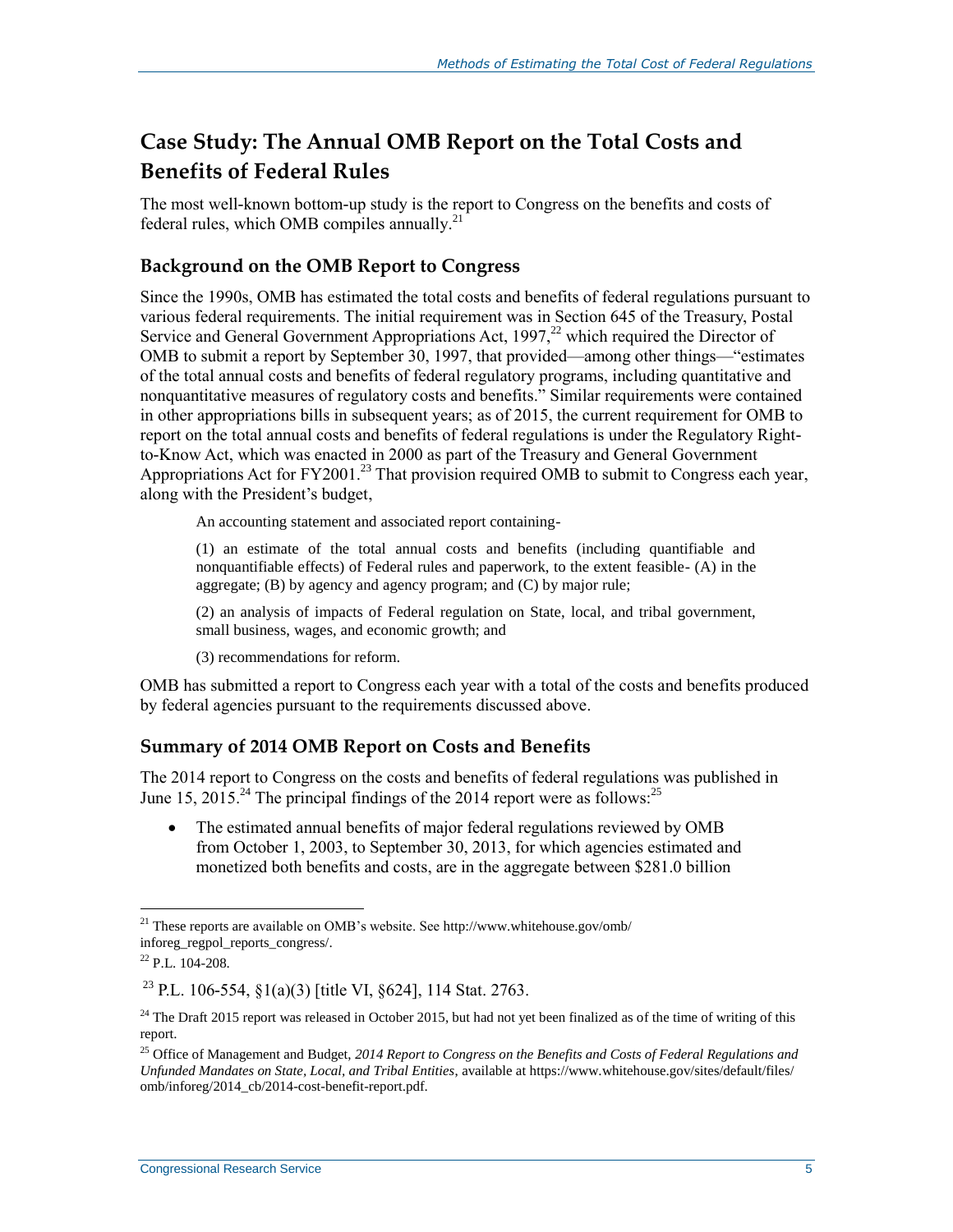### **Case Study: The Annual OMB Report on the Total Costs and Benefits of Federal Rules**

The most well-known bottom-up study is the report to Congress on the benefits and costs of federal rules, which OMB compiles annually.<sup>21</sup>

### **Background on the OMB Report to Congress**

Since the 1990s, OMB has estimated the total costs and benefits of federal regulations pursuant to various federal requirements. The initial requirement was in Section 645 of the Treasury, Postal Service and General Government Appropriations Act,  $1997, ^{22}$  which required the Director of OMB to submit a report by September 30, 1997, that provided—among other things—"estimates of the total annual costs and benefits of federal regulatory programs, including quantitative and nonquantitative measures of regulatory costs and benefits." Similar requirements were contained in other appropriations bills in subsequent years; as of 2015, the current requirement for OMB to report on the total annual costs and benefits of federal regulations is under the Regulatory Rightto-Know Act, which was enacted in 2000 as part of the Treasury and General Government Appropriations Act for  $FY2001<sup>23</sup>$  That provision required OMB to submit to Congress each year, along with the President's budget,

An accounting statement and associated report containing-

(1) an estimate of the total annual costs and benefits (including quantifiable and nonquantifiable effects) of Federal rules and paperwork, to the extent feasible- (A) in the aggregate; (B) by agency and agency program; and (C) by major rule;

(2) an analysis of impacts of Federal regulation on State, local, and tribal government, small business, wages, and economic growth; and

(3) recommendations for reform.

OMB has submitted a report to Congress each year with a total of the costs and benefits produced by federal agencies pursuant to the requirements discussed above.

### **Summary of 2014 OMB Report on Costs and Benefits**

The 2014 report to Congress on the costs and benefits of federal regulations was published in June 15, 2015.<sup>24</sup> The principal findings of the 2014 report were as follows:<sup>25</sup>

• The estimated annual benefits of major federal regulations reviewed by OMB from October 1, 2003, to September 30, 2013, for which agencies estimated and monetized both benefits and costs, are in the aggregate between \$281.0 billion

 $^{21}$  These reports are available on OMB's website. See http://www.whitehouse.gov/omb/ inforeg\_regpol\_reports\_congress/.

<sup>22</sup> P.L. 104-208.

<sup>&</sup>lt;sup>23</sup> P.L. 106-554, §1(a)(3) [title VI, §624], 114 Stat. 2763.

<sup>&</sup>lt;sup>24</sup> The Draft 2015 report was released in October 2015, but had not yet been finalized as of the time of writing of this report.

<sup>25</sup> Office of Management and Budget, *2014 Report to Congress on the Benefits and Costs of Federal Regulations and Unfunded Mandates on State, Local, and Tribal Entities*, available at https://www.whitehouse.gov/sites/default/files/ omb/inforeg/2014\_cb/2014-cost-benefit-report.pdf.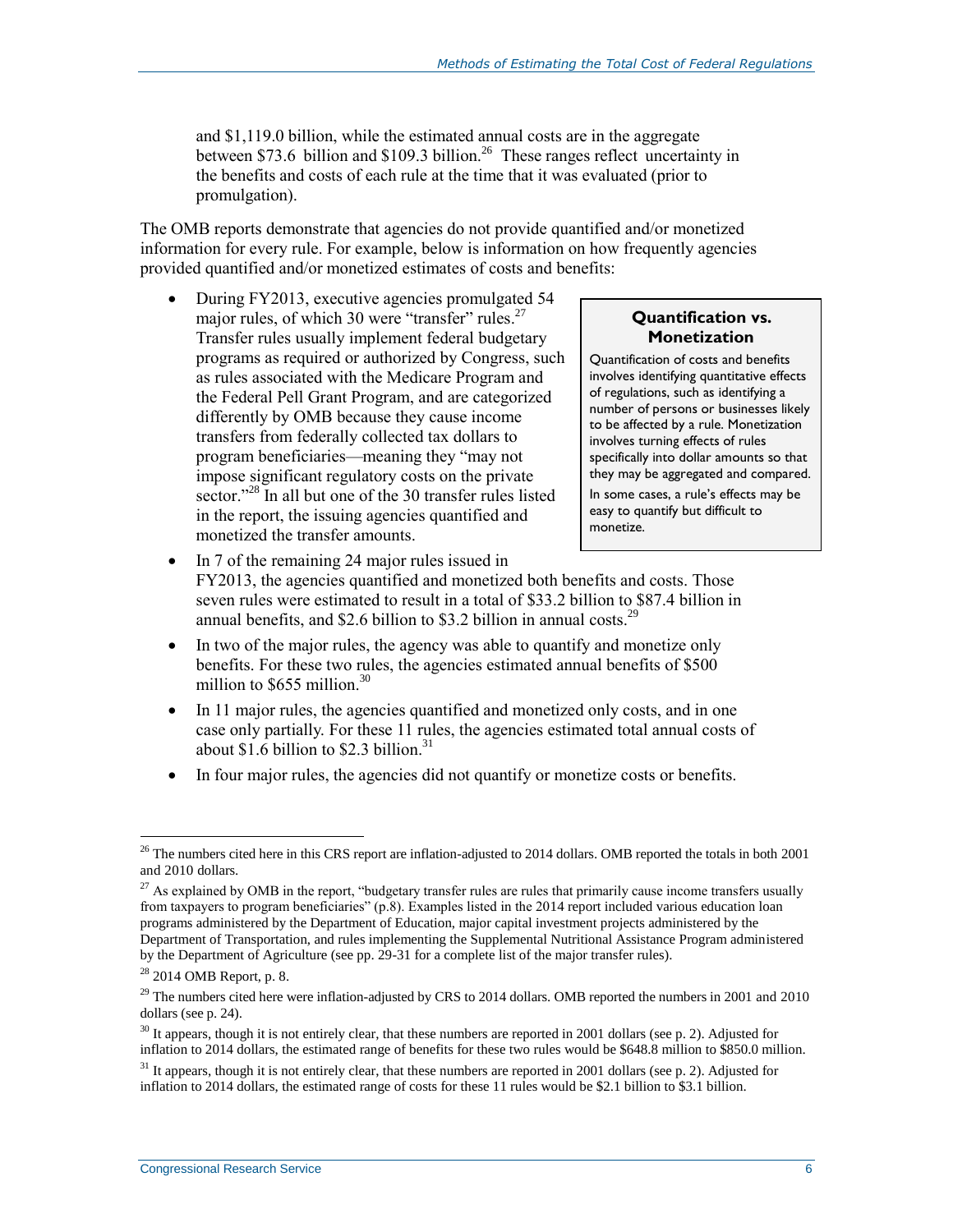and \$1,119.0 billion, while the estimated annual costs are in the aggregate between \$73.6 billion and \$109.3 billion.<sup>26</sup> These ranges reflect uncertainty in the benefits and costs of each rule at the time that it was evaluated (prior to promulgation).

The OMB reports demonstrate that agencies do not provide quantified and/or monetized information for every rule. For example, below is information on how frequently agencies provided quantified and/or monetized estimates of costs and benefits:

• During FY2013, executive agencies promulgated 54 major rules, of which 30 were "transfer" rules.<sup>27</sup> Transfer rules usually implement federal budgetary programs as required or authorized by Congress, such as rules associated with the Medicare Program and the Federal Pell Grant Program, and are categorized differently by OMB because they cause income transfers from federally collected tax dollars to program beneficiaries—meaning they "may not impose significant regulatory costs on the private sector."<sup>28</sup> In all but one of the 30 transfer rules listed in the report, the issuing agencies quantified and monetized the transfer amounts.

#### **Quantification vs. Monetization**

Quantification of costs and benefits involves identifying quantitative effects of regulations, such as identifying a number of persons or businesses likely to be affected by a rule. Monetization involves turning effects of rules specifically into dollar amounts so that they may be aggregated and compared.

In some cases, a rule's effects may be easy to quantify but difficult to monetize.

- In 7 of the remaining 24 major rules issued in FY2013, the agencies quantified and monetized both benefits and costs. Those seven rules were estimated to result in a total of \$33.2 billion to \$87.4 billion in annual benefits, and \$2.6 billion to \$3.2 billion in annual costs.<sup>29</sup>
- In two of the major rules, the agency was able to quantify and monetize only benefits. For these two rules, the agencies estimated annual benefits of \$500 million to  $$655$  million.<sup>30</sup>
- In 11 major rules, the agencies quantified and monetized only costs, and in one case only partially. For these 11 rules, the agencies estimated total annual costs of about  $$1.6$  billion to  $$2.3$  billion.<sup>31</sup>
- In four major rules, the agencies did not quantify or monetize costs or benefits.

 $26$  The numbers cited here in this CRS report are inflation-adjusted to 2014 dollars. OMB reported the totals in both 2001 and 2010 dollars.

 $27$  As explained by OMB in the report, "budgetary transfer rules are rules that primarily cause income transfers usually from taxpayers to program beneficiaries" (p.8). Examples listed in the 2014 report included various education loan programs administered by the Department of Education, major capital investment projects administered by the Department of Transportation, and rules implementing the Supplemental Nutritional Assistance Program administered by the Department of Agriculture (see pp. 29-31 for a complete list of the major transfer rules).

<sup>28</sup> 2014 OMB Report, p. 8.

 $^{29}$  The numbers cited here were inflation-adjusted by CRS to 2014 dollars. OMB reported the numbers in 2001 and 2010 dollars (see p. 24).

 $30$  It appears, though it is not entirely clear, that these numbers are reported in 2001 dollars (see p. 2). Adjusted for inflation to 2014 dollars, the estimated range of benefits for these two rules would be \$648.8 million to \$850.0 million.

<sup>&</sup>lt;sup>31</sup> It appears, though it is not entirely clear, that these numbers are reported in 2001 dollars (see p. 2). Adjusted for inflation to 2014 dollars, the estimated range of costs for these 11 rules would be \$2.1 billion to \$3.1 billion.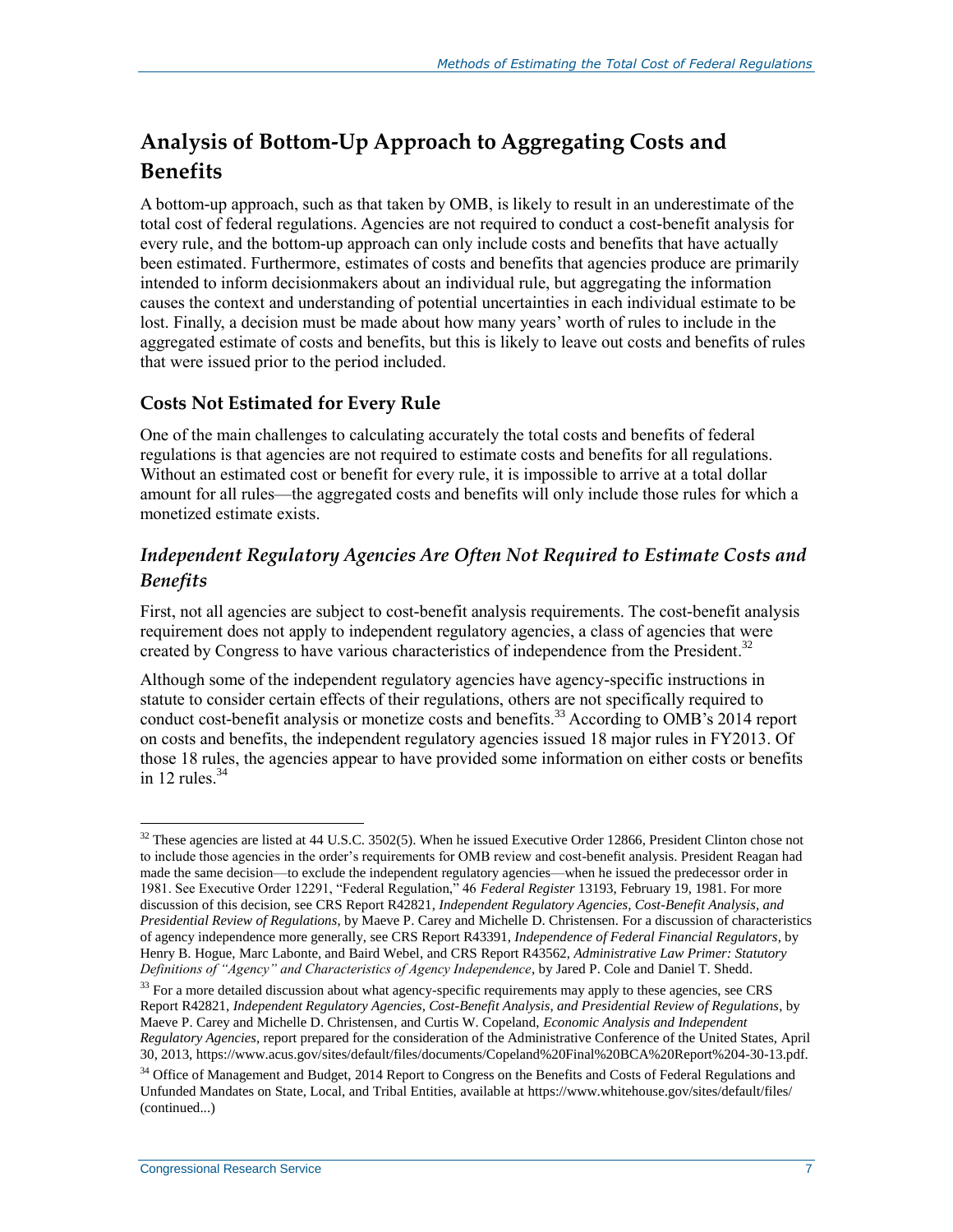### **Analysis of Bottom-Up Approach to Aggregating Costs and Benefits**

A bottom-up approach, such as that taken by OMB, is likely to result in an underestimate of the total cost of federal regulations. Agencies are not required to conduct a cost-benefit analysis for every rule, and the bottom-up approach can only include costs and benefits that have actually been estimated. Furthermore, estimates of costs and benefits that agencies produce are primarily intended to inform decisionmakers about an individual rule, but aggregating the information causes the context and understanding of potential uncertainties in each individual estimate to be lost. Finally, a decision must be made about how many years' worth of rules to include in the aggregated estimate of costs and benefits, but this is likely to leave out costs and benefits of rules that were issued prior to the period included.

### **Costs Not Estimated for Every Rule**

One of the main challenges to calculating accurately the total costs and benefits of federal regulations is that agencies are not required to estimate costs and benefits for all regulations. Without an estimated cost or benefit for every rule, it is impossible to arrive at a total dollar amount for all rules—the aggregated costs and benefits will only include those rules for which a monetized estimate exists.

### *Independent Regulatory Agencies Are Often Not Required to Estimate Costs and Benefits*

First, not all agencies are subject to cost-benefit analysis requirements. The cost-benefit analysis requirement does not apply to independent regulatory agencies, a class of agencies that were created by Congress to have various characteristics of independence from the President. 32

Although some of the independent regulatory agencies have agency-specific instructions in statute to consider certain effects of their regulations, others are not specifically required to conduct cost-benefit analysis or monetize costs and benefits.<sup>33</sup> According to OMB's 2014 report on costs and benefits, the independent regulatory agencies issued 18 major rules in FY2013. Of those 18 rules, the agencies appear to have provided some information on either costs or benefits in 12 rules. $34$ 

 $\overline{a}$  $32$  These agencies are listed at 44 U.S.C. 3502(5). When he issued Executive Order 12866, President Clinton chose not to include those agencies in the order's requirements for OMB review and cost-benefit analysis. President Reagan had made the same decision—to exclude the independent regulatory agencies—when he issued the predecessor order in 1981. See Executive Order 12291, "Federal Regulation," 46 *Federal Register* 13193, February 19, 1981. For more discussion of this decision, see CRS Report R42821, *Independent Regulatory Agencies, Cost-Benefit Analysis, and Presidential Review of Regulations*, by Maeve P. Carey and Michelle D. Christensen. For a discussion of characteristics of agency independence more generally, see CRS Report R43391, *Independence of Federal Financial Regulators*, by Henry B. Hogue, Marc Labonte, and Baird Webel, and CRS Report R43562, *Administrative Law Primer: Statutory Definitions of "Agency" and Characteristics of Agency Independence*, by Jared P. Cole and Daniel T. Shedd.

<sup>&</sup>lt;sup>33</sup> For a more detailed discussion about what agency-specific requirements may apply to these agencies, see CRS Report R42821, *Independent Regulatory Agencies, Cost-Benefit Analysis, and Presidential Review of Regulations*, by Maeve P. Carey and Michelle D. Christensen, and Curtis W. Copeland, *Economic Analysis and Independent Regulatory Agencies*, report prepared for the consideration of the Administrative Conference of the United States, April 30, 2013, https://www.acus.gov/sites/default/files/documents/Copeland%20Final%20BCA%20Report%204-30-13.pdf.

<sup>&</sup>lt;sup>34</sup> Office of Management and Budget, 2014 Report to Congress on the Benefits and Costs of Federal Regulations and Unfunded Mandates on State, Local, and Tribal Entities, available at https://www.whitehouse.gov/sites/default/files/ (continued...)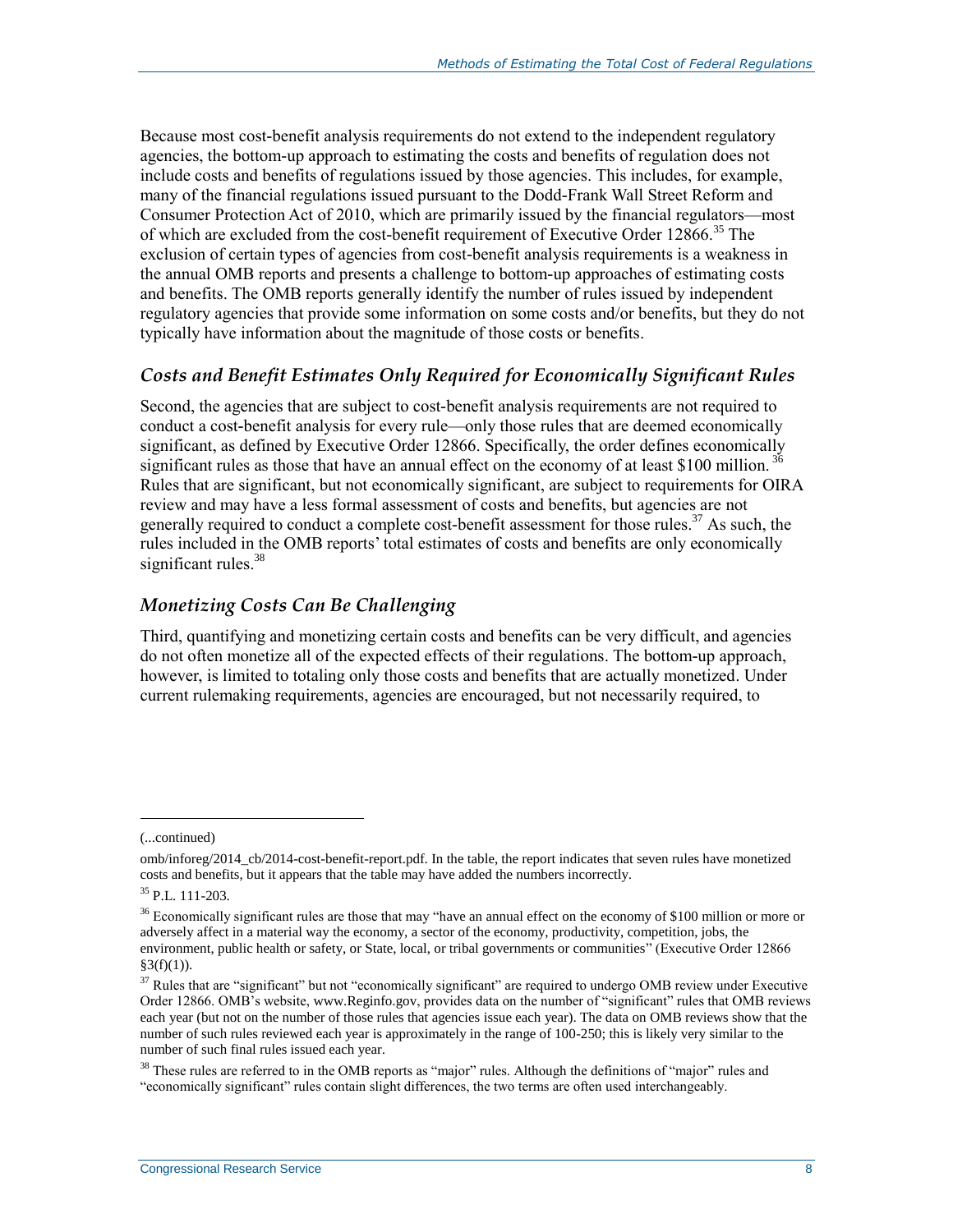Because most cost-benefit analysis requirements do not extend to the independent regulatory agencies, the bottom-up approach to estimating the costs and benefits of regulation does not include costs and benefits of regulations issued by those agencies. This includes, for example, many of the financial regulations issued pursuant to the Dodd-Frank Wall Street Reform and Consumer Protection Act of 2010, which are primarily issued by the financial regulators—most of which are excluded from the cost-benefit requirement of Executive Order 12866.<sup>35</sup> The exclusion of certain types of agencies from cost-benefit analysis requirements is a weakness in the annual OMB reports and presents a challenge to bottom-up approaches of estimating costs and benefits. The OMB reports generally identify the number of rules issued by independent regulatory agencies that provide some information on some costs and/or benefits, but they do not typically have information about the magnitude of those costs or benefits.

### *Costs and Benefit Estimates Only Required for Economically Significant Rules*

Second, the agencies that are subject to cost-benefit analysis requirements are not required to conduct a cost-benefit analysis for every rule—only those rules that are deemed economically significant, as defined by Executive Order 12866. Specifically, the order defines economically significant rules as those that have an annual effect on the economy of at least \$100 million.<sup>36</sup> Rules that are significant, but not economically significant, are subject to requirements for OIRA review and may have a less formal assessment of costs and benefits, but agencies are not generally required to conduct a complete cost-benefit assessment for those rules.<sup>37</sup> As such, the rules included in the OMB reports' total estimates of costs and benefits are only economically significant rules. $38$ 

### *Monetizing Costs Can Be Challenging*

Third, quantifying and monetizing certain costs and benefits can be very difficult, and agencies do not often monetize all of the expected effects of their regulations. The bottom-up approach, however, is limited to totaling only those costs and benefits that are actually monetized. Under current rulemaking requirements, agencies are encouraged, but not necessarily required, to

<sup>(...</sup>continued)

omb/inforeg/2014\_cb/2014-cost-benefit-report.pdf. In the table, the report indicates that seven rules have monetized costs and benefits, but it appears that the table may have added the numbers incorrectly.

<sup>35</sup> P.L. 111-203.

 $36$  Economically significant rules are those that may "have an annual effect on the economy of \$100 million or more or adversely affect in a material way the economy, a sector of the economy, productivity, competition, jobs, the environment, public health or safety, or State, local, or tribal governments or communities" (Executive Order 12866  $§3(f)(1)).$ 

<sup>&</sup>lt;sup>37</sup> Rules that are "significant" but not "economically significant" are required to undergo OMB review under Executive Order 12866. OMB's website, www.Reginfo.gov, provides data on the number of "significant" rules that OMB reviews each year (but not on the number of those rules that agencies issue each year). The data on OMB reviews show that the number of such rules reviewed each year is approximately in the range of 100-250; this is likely very similar to the number of such final rules issued each year.

<sup>&</sup>lt;sup>38</sup> These rules are referred to in the OMB reports as "major" rules. Although the definitions of "major" rules and "economically significant" rules contain slight differences, the two terms are often used interchangeably.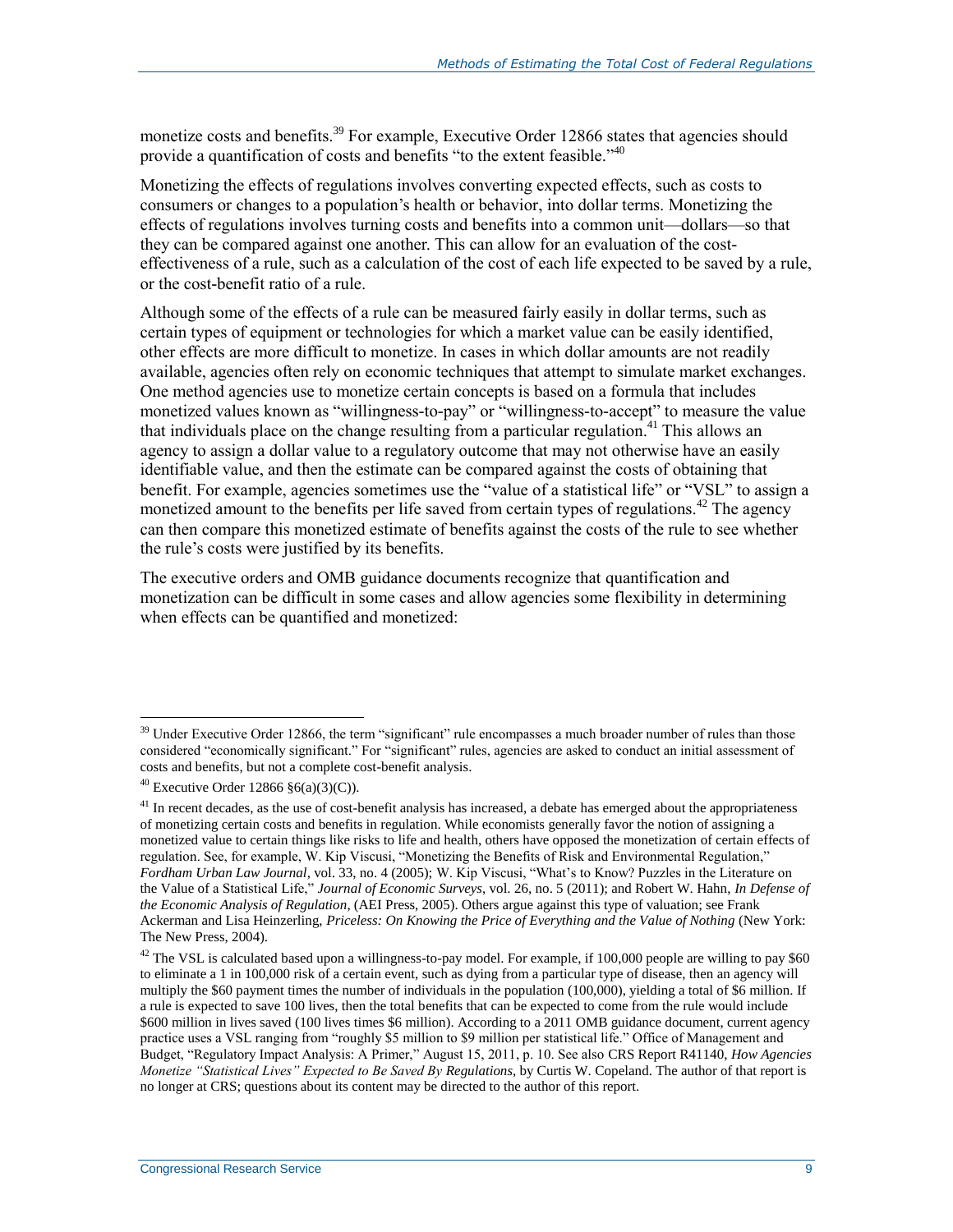monetize costs and benefits.<sup>39</sup> For example, Executive Order 12866 states that agencies should provide a quantification of costs and benefits "to the extent feasible."<sup>40</sup>

Monetizing the effects of regulations involves converting expected effects, such as costs to consumers or changes to a population's health or behavior, into dollar terms. Monetizing the effects of regulations involves turning costs and benefits into a common unit—dollars—so that they can be compared against one another. This can allow for an evaluation of the costeffectiveness of a rule, such as a calculation of the cost of each life expected to be saved by a rule, or the cost-benefit ratio of a rule.

Although some of the effects of a rule can be measured fairly easily in dollar terms, such as certain types of equipment or technologies for which a market value can be easily identified, other effects are more difficult to monetize. In cases in which dollar amounts are not readily available, agencies often rely on economic techniques that attempt to simulate market exchanges. One method agencies use to monetize certain concepts is based on a formula that includes monetized values known as "willingness-to-pay" or "willingness-to-accept" to measure the value that individuals place on the change resulting from a particular regulation. <sup>41</sup> This allows an agency to assign a dollar value to a regulatory outcome that may not otherwise have an easily identifiable value, and then the estimate can be compared against the costs of obtaining that benefit. For example, agencies sometimes use the "value of a statistical life" or "VSL" to assign a monetized amount to the benefits per life saved from certain types of regulations.<sup>42</sup> The agency can then compare this monetized estimate of benefits against the costs of the rule to see whether the rule's costs were justified by its benefits.

The executive orders and OMB guidance documents recognize that quantification and monetization can be difficult in some cases and allow agencies some flexibility in determining when effects can be quantified and monetized:

<sup>&</sup>lt;sup>39</sup> Under Executive Order 12866, the term "significant" rule encompasses a much broader number of rules than those considered "economically significant." For "significant" rules, agencies are asked to conduct an initial assessment of costs and benefits, but not a complete cost-benefit analysis.

<sup>&</sup>lt;sup>40</sup> Executive Order 12866  $\S6(a)(3)(C)$ .

 $41$  In recent decades, as the use of cost-benefit analysis has increased, a debate has emerged about the appropriateness of monetizing certain costs and benefits in regulation. While economists generally favor the notion of assigning a monetized value to certain things like risks to life and health, others have opposed the monetization of certain effects of regulation. See, for example, W. Kip Viscusi, "Monetizing the Benefits of Risk and Environmental Regulation," *Fordham Urban Law Journal*, vol. 33, no. 4 (2005); W. Kip Viscusi, "What's to Know? Puzzles in the Literature on the Value of a Statistical Life," *Journal of Economic Surveys*, vol. 26, no. 5 (2011); and Robert W. Hahn, *In Defense of the Economic Analysis of Regulation*, (AEI Press, 2005). Others argue against this type of valuation; see Frank Ackerman and Lisa Heinzerling, *Priceless: On Knowing the Price of Everything and the Value of Nothing* (New York: The New Press, 2004).

 $42$  The VSL is calculated based upon a willingness-to-pay model. For example, if 100,000 people are willing to pay \$60 to eliminate a 1 in 100,000 risk of a certain event, such as dying from a particular type of disease, then an agency will multiply the \$60 payment times the number of individuals in the population (100,000), yielding a total of \$6 million. If a rule is expected to save 100 lives, then the total benefits that can be expected to come from the rule would include \$600 million in lives saved (100 lives times \$6 million). According to a 2011 OMB guidance document, current agency practice uses a VSL ranging from "roughly \$5 million to \$9 million per statistical life." Office of Management and Budget, "Regulatory Impact Analysis: A Primer," August 15, 2011, p. 10. See also CRS Report R41140, *How Agencies Monetize "Statistical Lives" Expected to Be Saved By Regulations*, by Curtis W. Copeland. The author of that report is no longer at CRS; questions about its content may be directed to the author of this report.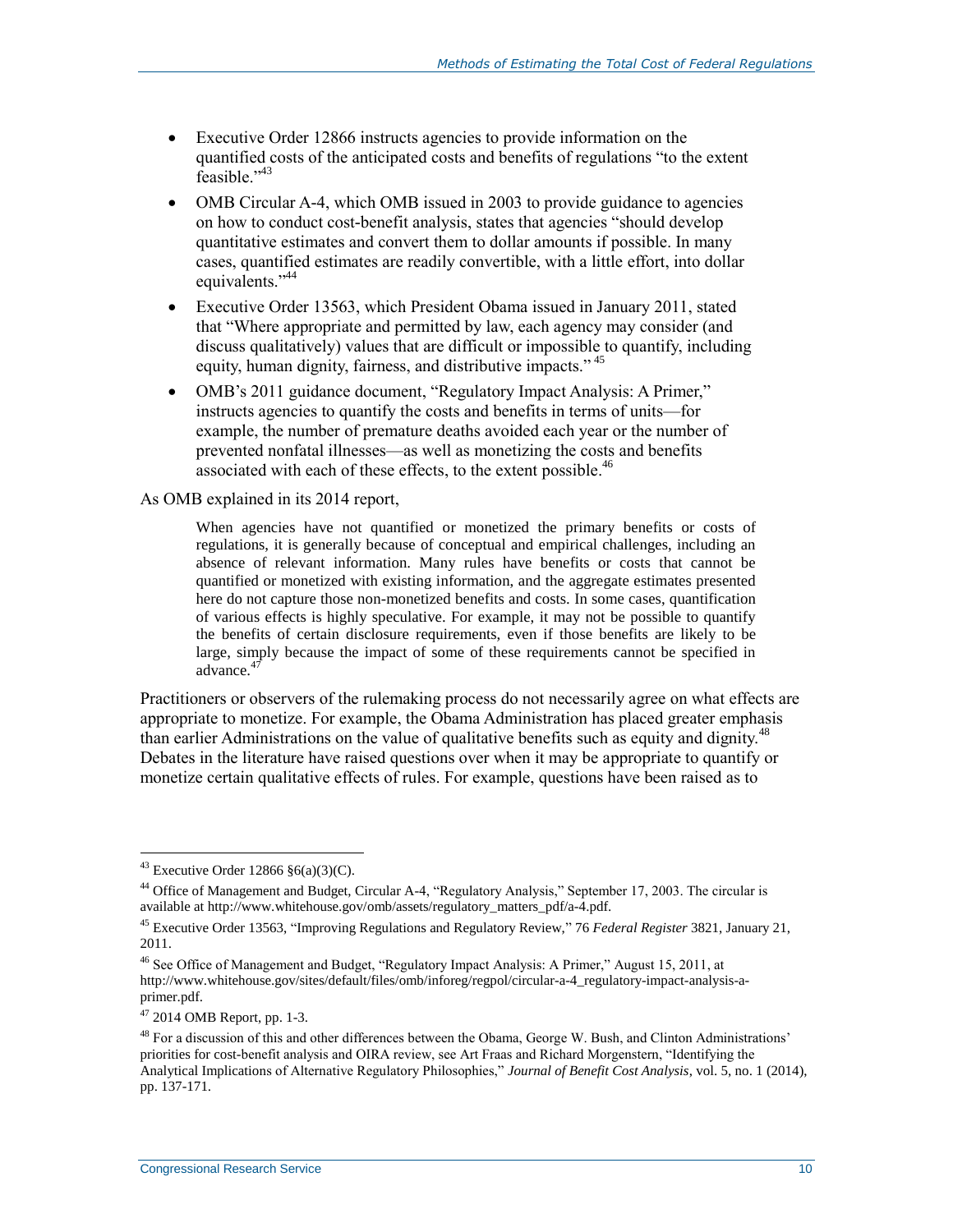- Executive Order 12866 instructs agencies to provide information on the quantified costs of the anticipated costs and benefits of regulations "to the extent feasible."<sup>43</sup>
- OMB Circular A-4, which OMB issued in 2003 to provide guidance to agencies on how to conduct cost-benefit analysis, states that agencies "should develop quantitative estimates and convert them to dollar amounts if possible. In many cases, quantified estimates are readily convertible, with a little effort, into dollar equivalents."<sup>44</sup>
- Executive Order 13563, which President Obama issued in January 2011, stated that "Where appropriate and permitted by law, each agency may consider (and discuss qualitatively) values that are difficult or impossible to quantify, including equity, human dignity, fairness, and distributive impacts."<sup>45</sup>
- OMB's 2011 guidance document, "Regulatory Impact Analysis: A Primer," instructs agencies to quantify the costs and benefits in terms of units—for example, the number of premature deaths avoided each year or the number of prevented nonfatal illnesses—as well as monetizing the costs and benefits associated with each of these effects, to the extent possible.<sup>46</sup>

#### As OMB explained in its 2014 report,

When agencies have not quantified or monetized the primary benefits or costs of regulations, it is generally because of conceptual and empirical challenges, including an absence of relevant information. Many rules have benefits or costs that cannot be quantified or monetized with existing information, and the aggregate estimates presented here do not capture those non-monetized benefits and costs. In some cases, quantification of various effects is highly speculative. For example, it may not be possible to quantify the benefits of certain disclosure requirements, even if those benefits are likely to be large, simply because the impact of some of these requirements cannot be specified in advance. $4^{4}$ 

Practitioners or observers of the rulemaking process do not necessarily agree on what effects are appropriate to monetize. For example, the Obama Administration has placed greater emphasis than earlier Administrations on the value of qualitative benefits such as equity and dignity.<sup>48</sup> Debates in the literature have raised questions over when it may be appropriate to quantify or monetize certain qualitative effects of rules. For example, questions have been raised as to

 $43$  Executive Order 12866  $\S6(a)(3)(C)$ .

<sup>44</sup> Office of Management and Budget, Circular A-4, "Regulatory Analysis," September 17, 2003. The circular is available at http://www.whitehouse.gov/omb/assets/regulatory\_matters\_pdf/a-4.pdf.

<sup>45</sup> Executive Order 13563, "Improving Regulations and Regulatory Review," 76 *Federal Register* 3821, January 21, 2011.

<sup>46</sup> See Office of Management and Budget, "Regulatory Impact Analysis: A Primer," August 15, 2011, at http://www.whitehouse.gov/sites/default/files/omb/inforeg/regpol/circular-a-4\_regulatory-impact-analysis-aprimer.pdf.

 $47$  2014 OMB Report, pp. 1-3.

<sup>&</sup>lt;sup>48</sup> For a discussion of this and other differences between the Obama, George W. Bush, and Clinton Administrations' priorities for cost-benefit analysis and OIRA review, see Art Fraas and Richard Morgenstern, "Identifying the Analytical Implications of Alternative Regulatory Philosophies," *Journal of Benefit Cost Analysis*, vol. 5, no. 1 (2014), pp. 137-171.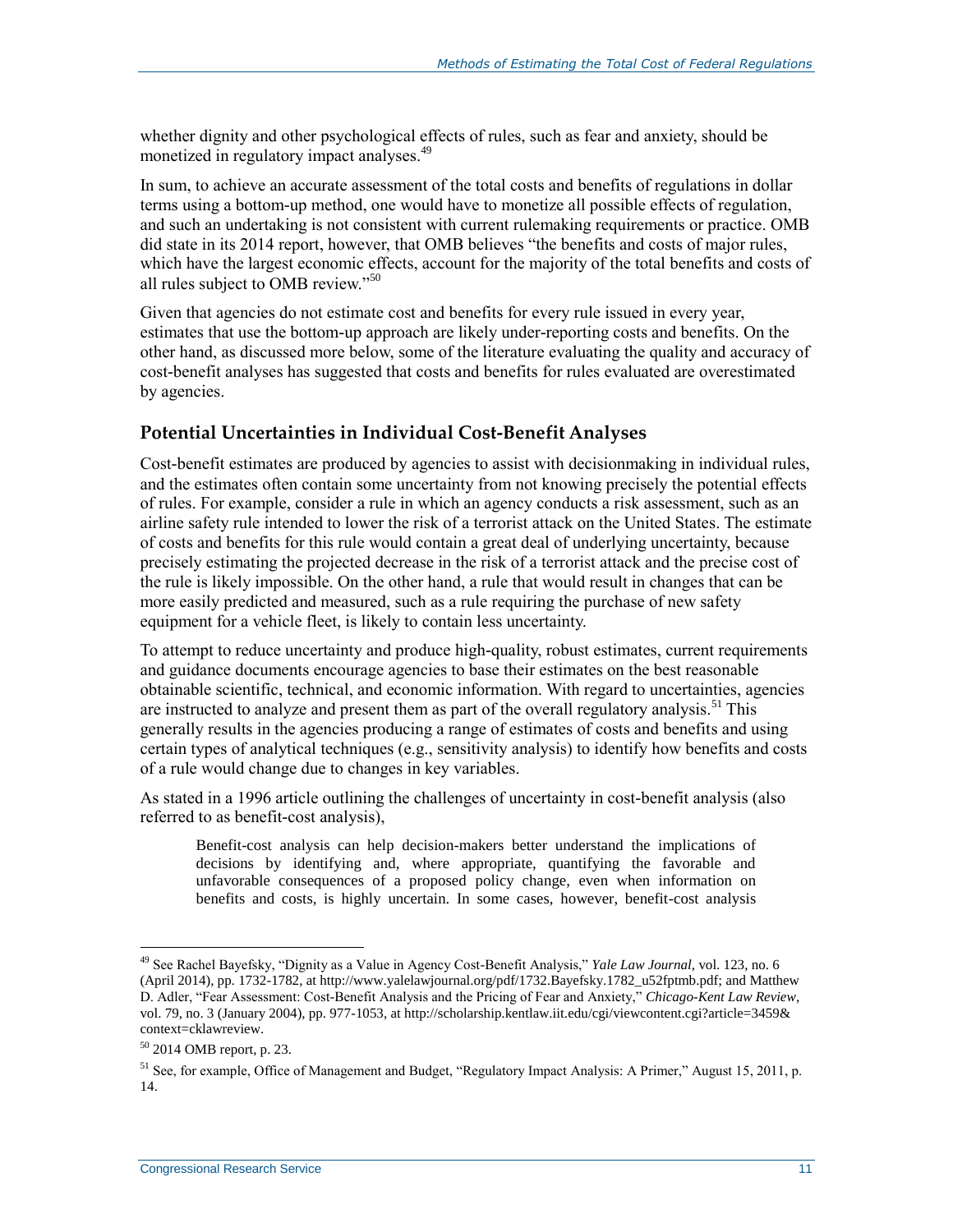whether dignity and other psychological effects of rules, such as fear and anxiety, should be monetized in regulatory impact analyses.<sup>49</sup>

In sum, to achieve an accurate assessment of the total costs and benefits of regulations in dollar terms using a bottom-up method, one would have to monetize all possible effects of regulation, and such an undertaking is not consistent with current rulemaking requirements or practice. OMB did state in its 2014 report, however, that OMB believes "the benefits and costs of major rules, which have the largest economic effects, account for the majority of the total benefits and costs of all rules subject to OMB review."<sup>50</sup>

Given that agencies do not estimate cost and benefits for every rule issued in every year, estimates that use the bottom-up approach are likely under-reporting costs and benefits. On the other hand, as discussed more below, some of the literature evaluating the quality and accuracy of cost-benefit analyses has suggested that costs and benefits for rules evaluated are overestimated by agencies.

### **Potential Uncertainties in Individual Cost-Benefit Analyses**

Cost-benefit estimates are produced by agencies to assist with decisionmaking in individual rules, and the estimates often contain some uncertainty from not knowing precisely the potential effects of rules. For example, consider a rule in which an agency conducts a risk assessment, such as an airline safety rule intended to lower the risk of a terrorist attack on the United States. The estimate of costs and benefits for this rule would contain a great deal of underlying uncertainty, because precisely estimating the projected decrease in the risk of a terrorist attack and the precise cost of the rule is likely impossible. On the other hand, a rule that would result in changes that can be more easily predicted and measured, such as a rule requiring the purchase of new safety equipment for a vehicle fleet, is likely to contain less uncertainty.

To attempt to reduce uncertainty and produce high-quality, robust estimates, current requirements and guidance documents encourage agencies to base their estimates on the best reasonable obtainable scientific, technical, and economic information. With regard to uncertainties, agencies are instructed to analyze and present them as part of the overall regulatory analysis.<sup>51</sup> This generally results in the agencies producing a range of estimates of costs and benefits and using certain types of analytical techniques (e.g., sensitivity analysis) to identify how benefits and costs of a rule would change due to changes in key variables.

As stated in a 1996 article outlining the challenges of uncertainty in cost-benefit analysis (also referred to as benefit-cost analysis),

Benefit-cost analysis can help decision-makers better understand the implications of decisions by identifying and, where appropriate, quantifying the favorable and unfavorable consequences of a proposed policy change, even when information on benefits and costs, is highly uncertain. In some cases, however, benefit-cost analysis

<sup>49</sup> See Rachel Bayefsky, "Dignity as a Value in Agency Cost-Benefit Analysis," *Yale Law Journal*, vol. 123, no. 6 (April 2014), pp. 1732-1782, at http://www.yalelawjournal.org/pdf/1732.Bayefsky.1782\_u52fptmb.pdf; and Matthew D. Adler, "Fear Assessment: Cost-Benefit Analysis and the Pricing of Fear and Anxiety," *Chicago-Kent Law Review*, vol. 79, no. 3 (January 2004), pp. 977-1053, at http://scholarship.kentlaw.iit.edu/cgi/viewcontent.cgi?article=3459& context=cklawreview.

<sup>50</sup> 2014 OMB report, p. 23.

<sup>51</sup> See, for example, Office of Management and Budget, "Regulatory Impact Analysis: A Primer," August 15, 2011, p. 14.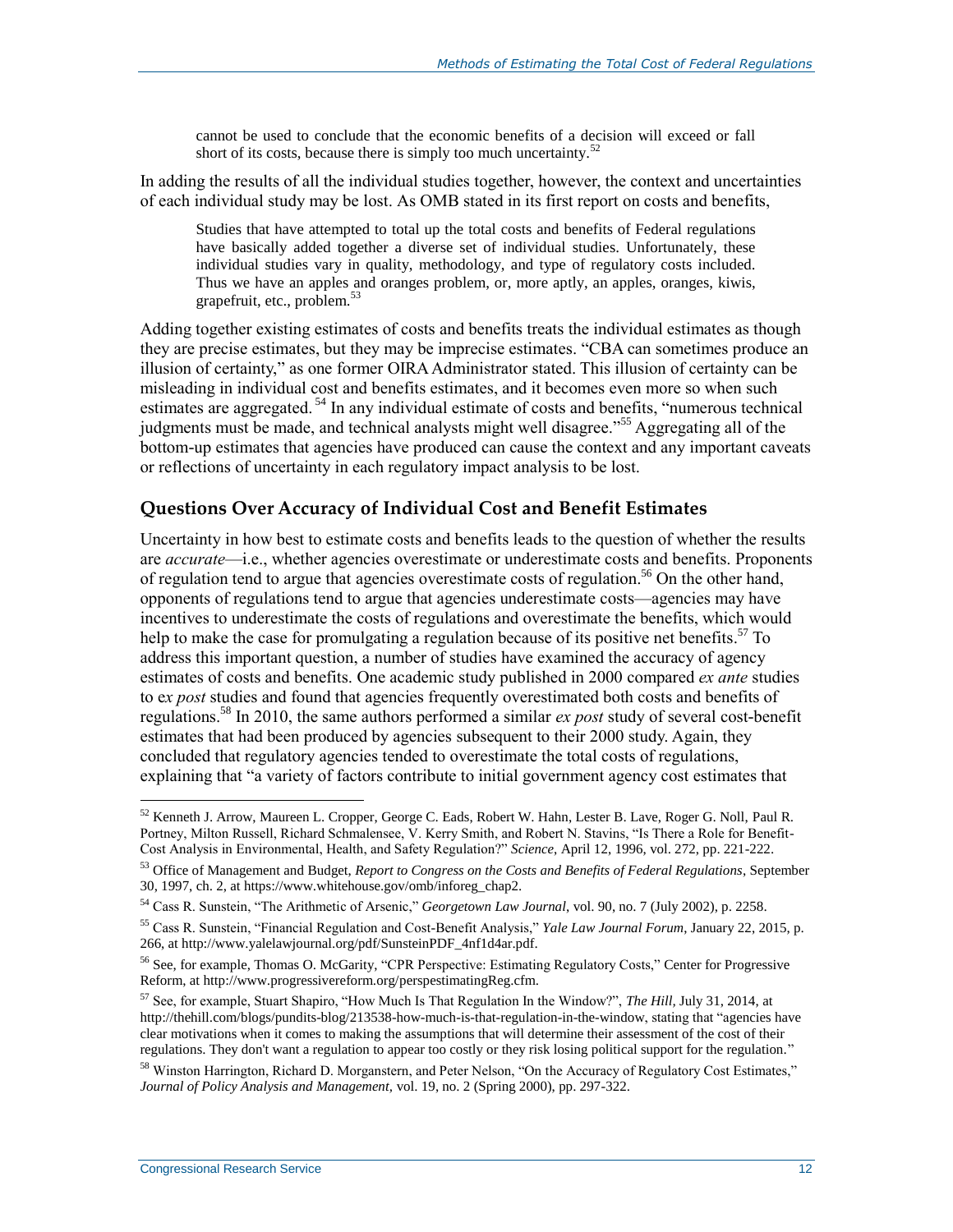cannot be used to conclude that the economic benefits of a decision will exceed or fall short of its costs, because there is simply too much uncertainty.<sup>52</sup>

In adding the results of all the individual studies together, however, the context and uncertainties of each individual study may be lost. As OMB stated in its first report on costs and benefits,

Studies that have attempted to total up the total costs and benefits of Federal regulations have basically added together a diverse set of individual studies. Unfortunately, these individual studies vary in quality, methodology, and type of regulatory costs included. Thus we have an apples and oranges problem, or, more aptly, an apples, oranges, kiwis, grapefruit, etc., problem.<sup>53</sup>

Adding together existing estimates of costs and benefits treats the individual estimates as though they are precise estimates, but they may be imprecise estimates. "CBA can sometimes produce an illusion of certainty," as one former OIRA Administrator stated. This illusion of certainty can be misleading in individual cost and benefits estimates, and it becomes even more so when such estimates are aggregated.<sup>54</sup> In any individual estimate of costs and benefits, "numerous technical" judgments must be made, and technical analysts might well disagree."<sup>55</sup> Aggregating all of the bottom-up estimates that agencies have produced can cause the context and any important caveats or reflections of uncertainty in each regulatory impact analysis to be lost.

#### <span id="page-15-0"></span>**Questions Over Accuracy of Individual Cost and Benefit Estimates**

Uncertainty in how best to estimate costs and benefits leads to the question of whether the results are *accurate*—i.e., whether agencies overestimate or underestimate costs and benefits. Proponents of regulation tend to argue that agencies overestimate costs of regulation. <sup>56</sup> On the other hand, opponents of regulations tend to argue that agencies underestimate costs—agencies may have incentives to underestimate the costs of regulations and overestimate the benefits, which would help to make the case for promulgating a regulation because of its positive net benefits.<sup>57</sup> To address this important question, a number of studies have examined the accuracy of agency estimates of costs and benefits. One academic study published in 2000 compared *ex ante* studies to e*x post* studies and found that agencies frequently overestimated both costs and benefits of regulations. <sup>58</sup> In 2010, the same authors performed a similar *ex post* study of several cost-benefit estimates that had been produced by agencies subsequent to their 2000 study. Again, they concluded that regulatory agencies tended to overestimate the total costs of regulations, explaining that "a variety of factors contribute to initial government agency cost estimates that

 $52$  Kenneth J. Arrow, Maureen L. Cropper, George C. Eads, Robert W. Hahn, Lester B. Lave, Roger G. Noll, Paul R. Portney, Milton Russell, Richard Schmalensee, V. Kerry Smith, and Robert N. Stavins, "Is There a Role for Benefit-Cost Analysis in Environmental, Health, and Safety Regulation?" *Science*, April 12, 1996, vol. 272, pp. 221-222.

<sup>53</sup> Office of Management and Budget, *Report to Congress on the Costs and Benefits of Federal Regulations*, September 30, 1997, ch. 2, at https://www.whitehouse.gov/omb/inforeg\_chap2.

<sup>54</sup> Cass R. Sunstein, "The Arithmetic of Arsenic," *Georgetown Law Journal*, vol. 90, no. 7 (July 2002), p. 2258.

<sup>55</sup> Cass R. Sunstein, "Financial Regulation and Cost-Benefit Analysis," *Yale Law Journal Forum*, January 22, 2015, p. 266, at http://www.yalelawjournal.org/pdf/SunsteinPDF\_4nf1d4ar.pdf.

<sup>56</sup> See, for example, Thomas O. McGarity, "CPR Perspective: Estimating Regulatory Costs," Center for Progressive Reform, at http://www.progressivereform.org/perspestimatingReg.cfm.

<sup>57</sup> See, for example, Stuart Shapiro, "How Much Is That Regulation In the Window?", *The Hill,* July 31, 2014, at http://thehill.com/blogs/pundits-blog/213538-how-much-is-that-regulation-in-the-window, stating that "agencies have clear motivations when it comes to making the assumptions that will determine their assessment of the cost of their regulations. They don't want a regulation to appear too costly or they risk losing political support for the regulation."

<sup>58</sup> Winston Harrington, Richard D. Morganstern, and Peter Nelson, "On the Accuracy of Regulatory Cost Estimates," *Journal of Policy Analysis and Management,* vol. 19, no. 2 (Spring 2000), pp. 297-322.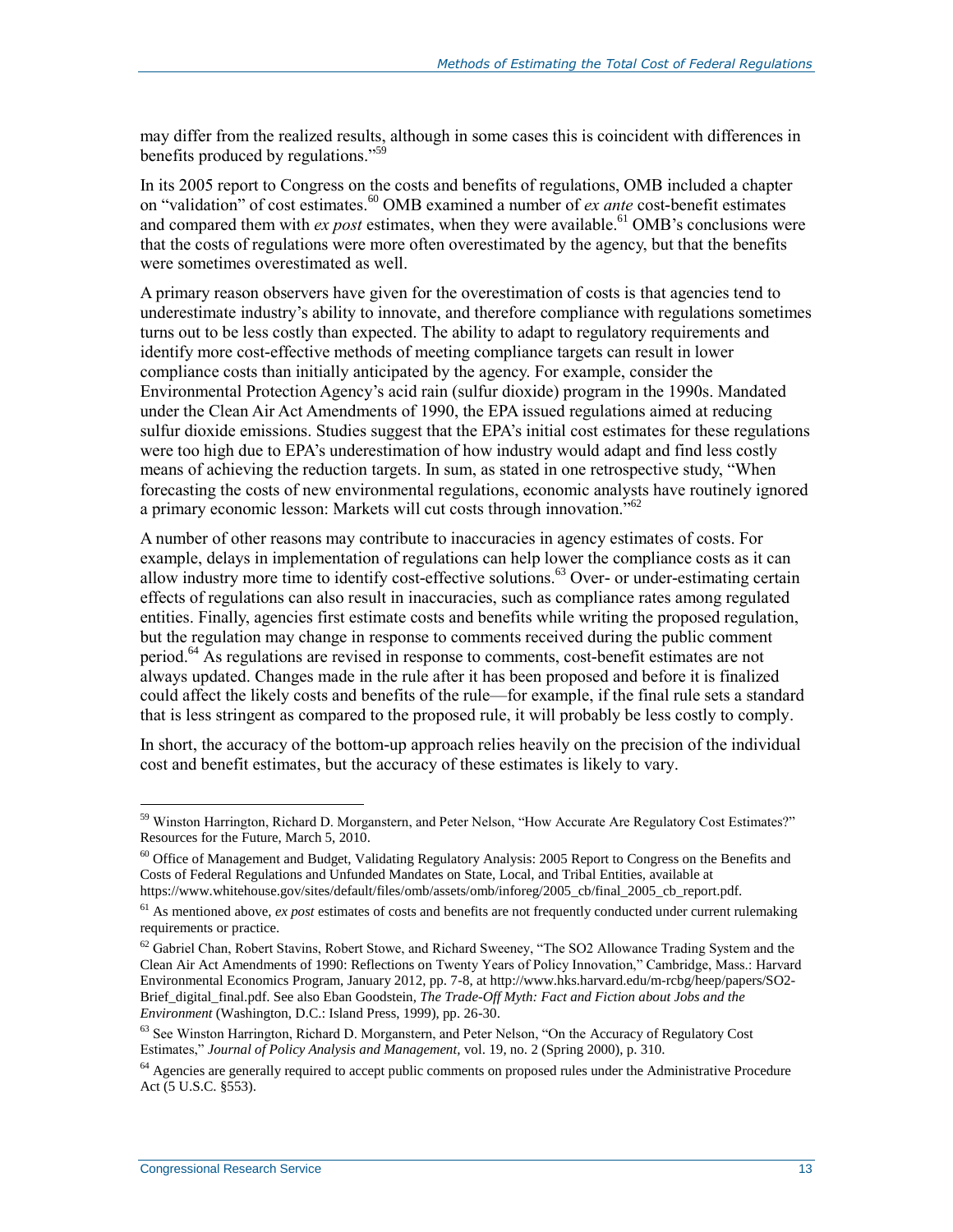may differ from the realized results, although in some cases this is coincident with differences in benefits produced by regulations."<sup>59</sup>

In its 2005 report to Congress on the costs and benefits of regulations, OMB included a chapter on "validation" of cost estimates.<sup>60</sup> OMB examined a number of *ex ante* cost-benefit estimates and compared them with  $ex$  post estimates, when they were available.<sup>61</sup> OMB's conclusions were that the costs of regulations were more often overestimated by the agency, but that the benefits were sometimes overestimated as well.

A primary reason observers have given for the overestimation of costs is that agencies tend to underestimate industry's ability to innovate, and therefore compliance with regulations sometimes turns out to be less costly than expected. The ability to adapt to regulatory requirements and identify more cost-effective methods of meeting compliance targets can result in lower compliance costs than initially anticipated by the agency. For example, consider the Environmental Protection Agency's acid rain (sulfur dioxide) program in the 1990s. Mandated under the Clean Air Act Amendments of 1990, the EPA issued regulations aimed at reducing sulfur dioxide emissions. Studies suggest that the EPA's initial cost estimates for these regulations were too high due to EPA's underestimation of how industry would adapt and find less costly means of achieving the reduction targets. In sum, as stated in one retrospective study, "When forecasting the costs of new environmental regulations, economic analysts have routinely ignored a primary economic lesson: Markets will cut costs through innovation."<sup>62</sup>

A number of other reasons may contribute to inaccuracies in agency estimates of costs. For example, delays in implementation of regulations can help lower the compliance costs as it can allow industry more time to identify cost-effective solutions.<sup>63</sup> Over- or under-estimating certain effects of regulations can also result in inaccuracies, such as compliance rates among regulated entities. Finally, agencies first estimate costs and benefits while writing the proposed regulation, but the regulation may change in response to comments received during the public comment period. <sup>64</sup> As regulations are revised in response to comments, cost-benefit estimates are not always updated. Changes made in the rule after it has been proposed and before it is finalized could affect the likely costs and benefits of the rule—for example, if the final rule sets a standard that is less stringent as compared to the proposed rule, it will probably be less costly to comply.

In short, the accuracy of the bottom-up approach relies heavily on the precision of the individual cost and benefit estimates, but the accuracy of these estimates is likely to vary.

<sup>&</sup>lt;sup>59</sup> Winston Harrington, Richard D. Morganstern, and Peter Nelson, "How Accurate Are Regulatory Cost Estimates?" Resources for the Future, March 5, 2010.

<sup>&</sup>lt;sup>60</sup> Office of Management and Budget, Validating Regulatory Analysis: 2005 Report to Congress on the Benefits and Costs of Federal Regulations and Unfunded Mandates on State, Local, and Tribal Entities, available at https://www.whitehouse.gov/sites/default/files/omb/assets/omb/inforeg/2005\_cb/final\_2005\_cb\_report.pdf.

<sup>&</sup>lt;sup>61</sup> As mentioned above, *ex post* estimates of costs and benefits are not frequently conducted under current rulemaking requirements or practice.

<sup>&</sup>lt;sup>62</sup> Gabriel Chan, Robert Stavins, Robert Stowe, and Richard Sweeney, "The SO2 Allowance Trading System and the Clean Air Act Amendments of 1990: Reflections on Twenty Years of Policy Innovation," Cambridge, Mass.: Harvard Environmental Economics Program, January 2012, pp. 7-8, at http://www.hks.harvard.edu/m-rcbg/heep/papers/SO2- Brief\_digital\_final.pdf. See also Eban Goodstein, *The Trade-Off Myth: Fact and Fiction about Jobs and the Environment* (Washington, D.C.: Island Press, 1999), pp. 26-30.

 $63$  See Winston Harrington, Richard D. Morganstern, and Peter Nelson, "On the Accuracy of Regulatory Cost Estimates," *Journal of Policy Analysis and Management,* vol. 19, no. 2 (Spring 2000), p. 310.

<sup>&</sup>lt;sup>64</sup> Agencies are generally required to accept public comments on proposed rules under the Administrative Procedure Act (5 U.S.C. §553).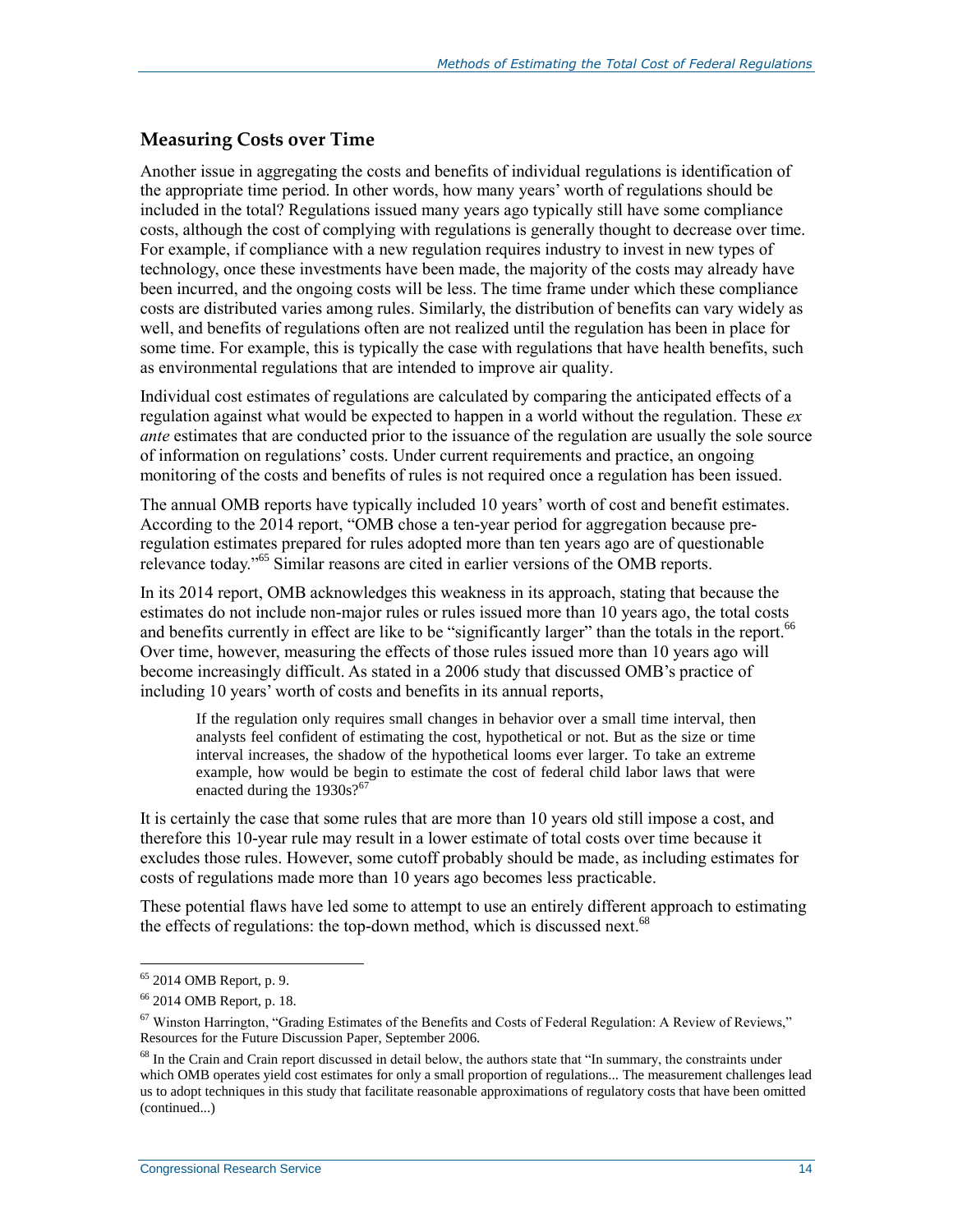#### **Measuring Costs over Time**

Another issue in aggregating the costs and benefits of individual regulations is identification of the appropriate time period. In other words, how many years' worth of regulations should be included in the total? Regulations issued many years ago typically still have some compliance costs, although the cost of complying with regulations is generally thought to decrease over time. For example, if compliance with a new regulation requires industry to invest in new types of technology, once these investments have been made, the majority of the costs may already have been incurred, and the ongoing costs will be less. The time frame under which these compliance costs are distributed varies among rules. Similarly, the distribution of benefits can vary widely as well, and benefits of regulations often are not realized until the regulation has been in place for some time. For example, this is typically the case with regulations that have health benefits, such as environmental regulations that are intended to improve air quality.

Individual cost estimates of regulations are calculated by comparing the anticipated effects of a regulation against what would be expected to happen in a world without the regulation. These *ex ante* estimates that are conducted prior to the issuance of the regulation are usually the sole source of information on regulations' costs. Under current requirements and practice, an ongoing monitoring of the costs and benefits of rules is not required once a regulation has been issued.

The annual OMB reports have typically included 10 years' worth of cost and benefit estimates. According to the 2014 report, "OMB chose a ten-year period for aggregation because preregulation estimates prepared for rules adopted more than ten years ago are of questionable relevance today."<sup>65</sup> Similar reasons are cited in earlier versions of the OMB reports.

In its 2014 report, OMB acknowledges this weakness in its approach, stating that because the estimates do not include non-major rules or rules issued more than 10 years ago, the total costs and benefits currently in effect are like to be "significantly larger" than the totals in the report.<sup>66</sup> Over time, however, measuring the effects of those rules issued more than 10 years ago will become increasingly difficult. As stated in a 2006 study that discussed OMB's practice of including 10 years' worth of costs and benefits in its annual reports,

If the regulation only requires small changes in behavior over a small time interval, then analysts feel confident of estimating the cost, hypothetical or not. But as the size or time interval increases, the shadow of the hypothetical looms ever larger. To take an extreme example, how would be begin to estimate the cost of federal child labor laws that were enacted during the  $1930s$ ?<sup>67</sup>

It is certainly the case that some rules that are more than 10 years old still impose a cost, and therefore this 10-year rule may result in a lower estimate of total costs over time because it excludes those rules. However, some cutoff probably should be made, as including estimates for costs of regulations made more than 10 years ago becomes less practicable.

These potential flaws have led some to attempt to use an entirely different approach to estimating the effects of regulations: the top-down method, which is discussed next.<sup>68</sup>

<sup>&</sup>lt;sup>65</sup> 2014 OMB Report, p. 9.

<sup>66</sup> 2014 OMB Report, p. 18.

 $67$  Winston Harrington, "Grading Estimates of the Benefits and Costs of Federal Regulation: A Review of Reviews," Resources for the Future Discussion Paper, September 2006.

<sup>&</sup>lt;sup>68</sup> In the Crain and Crain report discussed in detail below, the authors state that "In summary, the constraints under which OMB operates yield cost estimates for only a small proportion of regulations... The measurement challenges lead us to adopt techniques in this study that facilitate reasonable approximations of regulatory costs that have been omitted (continued...)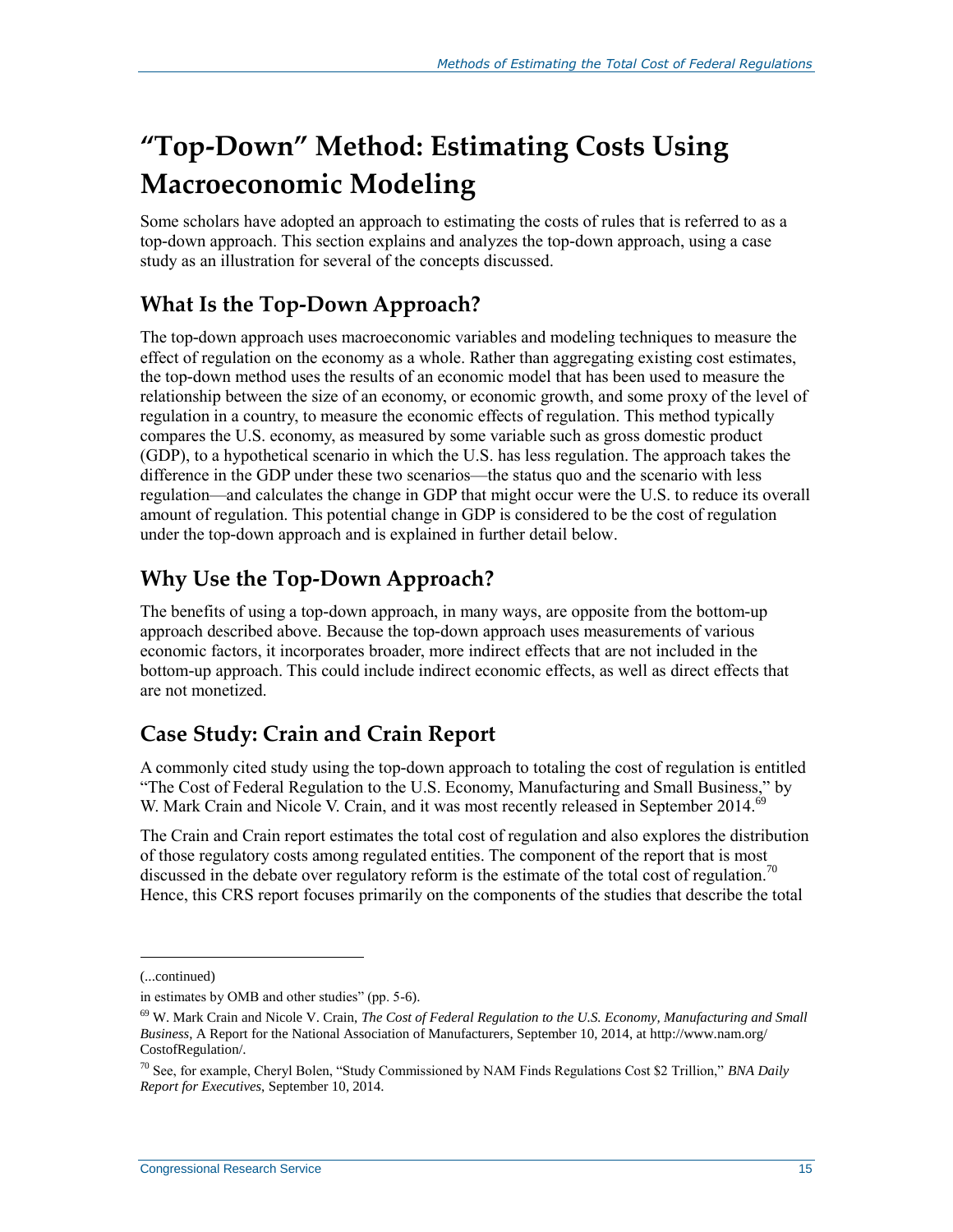## **"Top-Down" Method: Estimating Costs Using Macroeconomic Modeling**

Some scholars have adopted an approach to estimating the costs of rules that is referred to as a top-down approach. This section explains and analyzes the top-down approach, using a case study as an illustration for several of the concepts discussed.

### **What Is the Top-Down Approach?**

The top-down approach uses macroeconomic variables and modeling techniques to measure the effect of regulation on the economy as a whole. Rather than aggregating existing cost estimates, the top-down method uses the results of an economic model that has been used to measure the relationship between the size of an economy, or economic growth, and some proxy of the level of regulation in a country, to measure the economic effects of regulation. This method typically compares the U.S. economy, as measured by some variable such as gross domestic product (GDP), to a hypothetical scenario in which the U.S. has less regulation. The approach takes the difference in the GDP under these two scenarios—the status quo and the scenario with less regulation—and calculates the change in GDP that might occur were the U.S. to reduce its overall amount of regulation. This potential change in GDP is considered to be the cost of regulation under the top-down approach and is explained in further detail below.

### **Why Use the Top-Down Approach?**

The benefits of using a top-down approach, in many ways, are opposite from the bottom-up approach described above. Because the top-down approach uses measurements of various economic factors, it incorporates broader, more indirect effects that are not included in the bottom-up approach. This could include indirect economic effects, as well as direct effects that are not monetized.

### **Case Study: Crain and Crain Report**

A commonly cited study using the top-down approach to totaling the cost of regulation is entitled "The Cost of Federal Regulation to the U.S. Economy, Manufacturing and Small Business," by W. Mark Crain and Nicole V. Crain, and it was most recently released in September 2014.<sup>69</sup>

The Crain and Crain report estimates the total cost of regulation and also explores the distribution of those regulatory costs among regulated entities. The component of the report that is most discussed in the debate over regulatory reform is the estimate of the total cost of regulation.<sup>70</sup> Hence, this CRS report focuses primarily on the components of the studies that describe the total

<sup>(...</sup>continued)

in estimates by OMB and other studies" (pp. 5-6).

<sup>69</sup> W. Mark Crain and Nicole V. Crain, *The Cost of Federal Regulation to the U.S. Economy, Manufacturing and Small Business*, A Report for the National Association of Manufacturers, September 10, 2014, at http://www.nam.org/ CostofRegulation/.

<sup>70</sup> See, for example, Cheryl Bolen, "Study Commissioned by NAM Finds Regulations Cost \$2 Trillion," *BNA Daily Report for Executives*, September 10, 2014.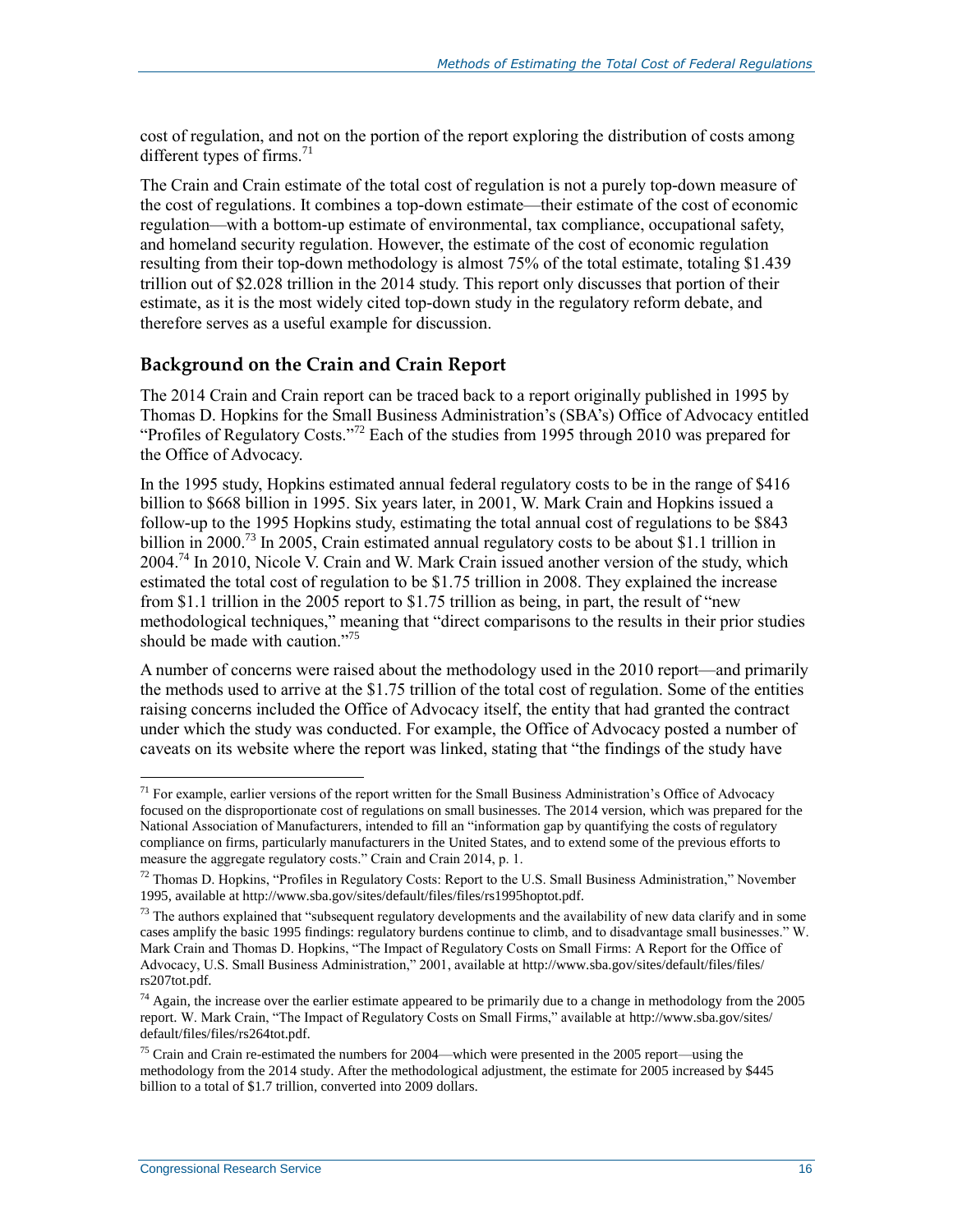cost of regulation, and not on the portion of the report exploring the distribution of costs among different types of firms.<sup>71</sup>

The Crain and Crain estimate of the total cost of regulation is not a purely top-down measure of the cost of regulations. It combines a top-down estimate—their estimate of the cost of economic regulation—with a bottom-up estimate of environmental, tax compliance, occupational safety, and homeland security regulation. However, the estimate of the cost of economic regulation resulting from their top-down methodology is almost 75% of the total estimate, totaling \$1.439 trillion out of \$2.028 trillion in the 2014 study. This report only discusses that portion of their estimate, as it is the most widely cited top-down study in the regulatory reform debate, and therefore serves as a useful example for discussion.

#### **Background on the Crain and Crain Report**

The 2014 Crain and Crain report can be traced back to a report originally published in 1995 by Thomas D. Hopkins for the Small Business Administration's (SBA's) Office of Advocacy entitled "Profiles of Regulatory Costs."<sup>72</sup> Each of the studies from 1995 through 2010 was prepared for the Office of Advocacy.

In the 1995 study, Hopkins estimated annual federal regulatory costs to be in the range of \$416 billion to \$668 billion in 1995. Six years later, in 2001, W. Mark Crain and Hopkins issued a follow-up to the 1995 Hopkins study, estimating the total annual cost of regulations to be \$843 billion in 2000.<sup>73</sup> In 2005, Crain estimated annual regulatory costs to be about \$1.1 trillion in 2004.<sup>74</sup> In 2010, Nicole V. Crain and W. Mark Crain issued another version of the study, which estimated the total cost of regulation to be \$1.75 trillion in 2008. They explained the increase from \$1.1 trillion in the 2005 report to \$1.75 trillion as being, in part, the result of "new methodological techniques," meaning that "direct comparisons to the results in their prior studies should be made with caution."<sup>75</sup>

A number of concerns were raised about the methodology used in the 2010 report—and primarily the methods used to arrive at the \$1.75 trillion of the total cost of regulation. Some of the entities raising concerns included the Office of Advocacy itself, the entity that had granted the contract under which the study was conducted. For example, the Office of Advocacy posted a number of caveats on its website where the report was linked, stating that "the findings of the study have

 $71$  For example, earlier versions of the report written for the Small Business Administration's Office of Advocacy focused on the disproportionate cost of regulations on small businesses. The 2014 version, which was prepared for the National Association of Manufacturers, intended to fill an "information gap by quantifying the costs of regulatory compliance on firms, particularly manufacturers in the United States, and to extend some of the previous efforts to measure the aggregate regulatory costs." Crain and Crain 2014, p. 1.

 $^{72}$  Thomas D. Hopkins, "Profiles in Regulatory Costs: Report to the U.S. Small Business Administration," November 1995, available at http://www.sba.gov/sites/default/files/files/rs1995hoptot.pdf.

 $73$  The authors explained that "subsequent regulatory developments and the availability of new data clarify and in some cases amplify the basic 1995 findings: regulatory burdens continue to climb, and to disadvantage small businesses." W. Mark Crain and Thomas D. Hopkins, "The Impact of Regulatory Costs on Small Firms: A Report for the Office of Advocacy, U.S. Small Business Administration," 2001, available at http://www.sba.gov/sites/default/files/files/ rs207tot.pdf.

 $74$  Again, the increase over the earlier estimate appeared to be primarily due to a change in methodology from the 2005 report. W. Mark Crain, "The Impact of Regulatory Costs on Small Firms," available at http://www.sba.gov/sites/ default/files/files/rs264tot.pdf.

<sup>75</sup> Crain and Crain re-estimated the numbers for 2004—which were presented in the 2005 report—using the methodology from the 2014 study. After the methodological adjustment, the estimate for 2005 increased by \$445 billion to a total of \$1.7 trillion, converted into 2009 dollars.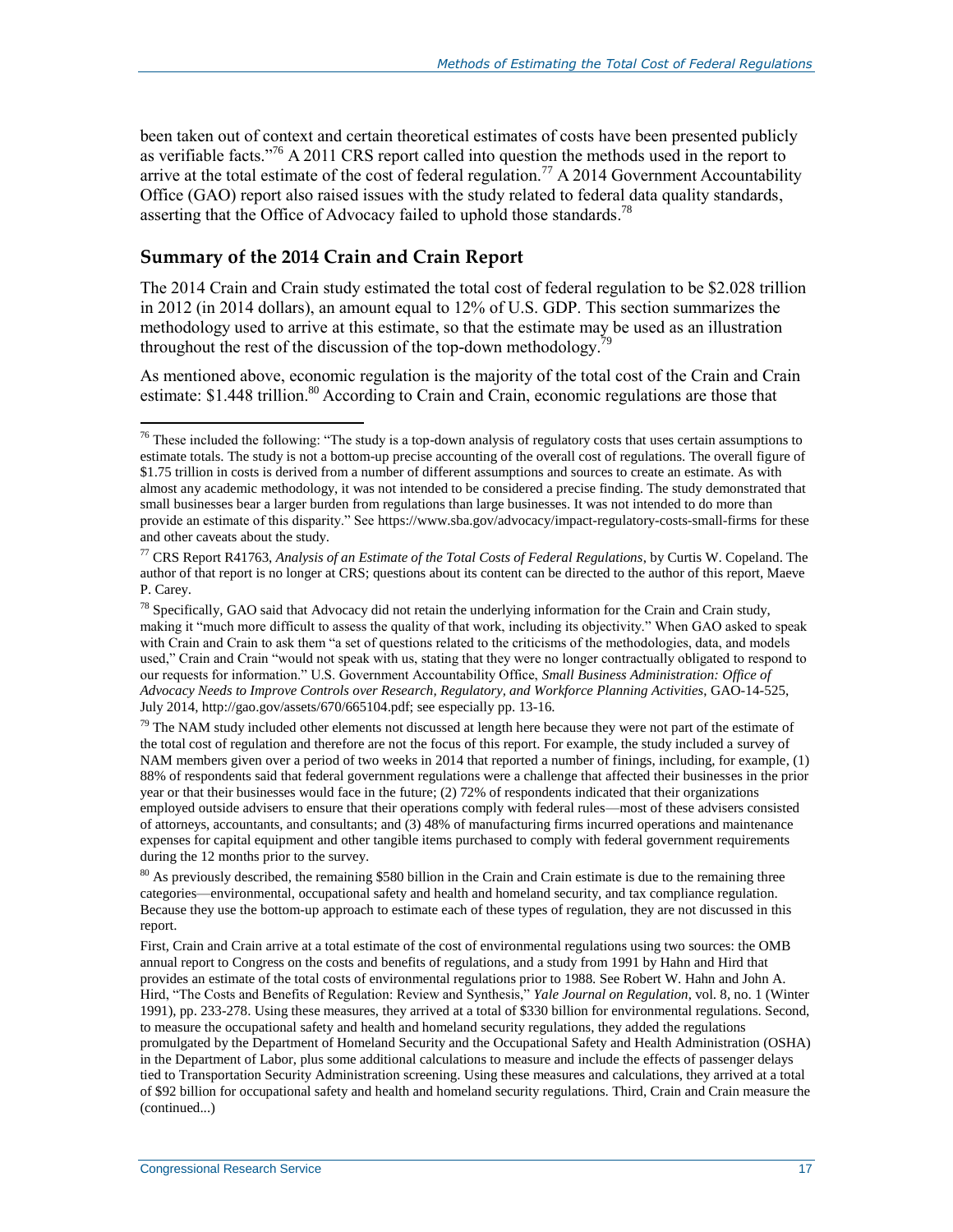been taken out of context and certain theoretical estimates of costs have been presented publicly as verifiable facts."<sup>76</sup> A 2011 CRS report called into question the methods used in the report to arrive at the total estimate of the cost of federal regulation.<sup>77</sup> A 2014 Government Accountability Office (GAO) report also raised issues with the study related to federal data quality standards, asserting that the Office of Advocacy failed to uphold those standards.<sup>78</sup>

#### **Summary of the 2014 Crain and Crain Report**

 $\overline{a}$ 

The 2014 Crain and Crain study estimated the total cost of federal regulation to be \$2.028 trillion in 2012 (in 2014 dollars), an amount equal to 12% of U.S. GDP. This section summarizes the methodology used to arrive at this estimate, so that the estimate may be used as an illustration throughout the rest of the discussion of the top-down methodology.<sup>79</sup>

As mentioned above, economic regulation is the majority of the total cost of the Crain and Crain estimate: \$1.448 trillion.<sup>80</sup> According to Crain and Crain, economic regulations are those that

 $79$  The NAM study included other elements not discussed at length here because they were not part of the estimate of the total cost of regulation and therefore are not the focus of this report. For example, the study included a survey of NAM members given over a period of two weeks in 2014 that reported a number of finings, including, for example, (1) 88% of respondents said that federal government regulations were a challenge that affected their businesses in the prior year or that their businesses would face in the future; (2) 72% of respondents indicated that their organizations employed outside advisers to ensure that their operations comply with federal rules—most of these advisers consisted of attorneys, accountants, and consultants; and (3) 48% of manufacturing firms incurred operations and maintenance expenses for capital equipment and other tangible items purchased to comply with federal government requirements during the 12 months prior to the survey.

First, Crain and Crain arrive at a total estimate of the cost of environmental regulations using two sources: the OMB annual report to Congress on the costs and benefits of regulations, and a study from 1991 by Hahn and Hird that provides an estimate of the total costs of environmental regulations prior to 1988. See Robert W. Hahn and John A. Hird, "The Costs and Benefits of Regulation: Review and Synthesis," *Yale Journal on Regulation*, vol. 8, no. 1 (Winter 1991), pp. 233-278. Using these measures, they arrived at a total of \$330 billion for environmental regulations. Second, to measure the occupational safety and health and homeland security regulations, they added the regulations promulgated by the Department of Homeland Security and the Occupational Safety and Health Administration (OSHA) in the Department of Labor, plus some additional calculations to measure and include the effects of passenger delays tied to Transportation Security Administration screening. Using these measures and calculations, they arrived at a total of \$92 billion for occupational safety and health and homeland security regulations. Third, Crain and Crain measure the (continued...)

<sup>&</sup>lt;sup>76</sup> These included the following: "The study is a top-down analysis of regulatory costs that uses certain assumptions to estimate totals. The study is not a bottom-up precise accounting of the overall cost of regulations. The overall figure of \$1.75 trillion in costs is derived from a number of different assumptions and sources to create an estimate. As with almost any academic methodology, it was not intended to be considered a precise finding. The study demonstrated that small businesses bear a larger burden from regulations than large businesses. It was not intended to do more than provide an estimate of this disparity." See https://www.sba.gov/advocacy/impact-regulatory-costs-small-firms for these and other caveats about the study.

<sup>77</sup> CRS Report R41763, *Analysis of an Estimate of the Total Costs of Federal Regulations*, by Curtis W. Copeland. The author of that report is no longer at CRS; questions about its content can be directed to the author of this report, Maeve P. Carey.

<sup>78</sup> Specifically, GAO said that Advocacy did not retain the underlying information for the Crain and Crain study, making it "much more difficult to assess the quality of that work, including its objectivity." When GAO asked to speak with Crain and Crain to ask them "a set of questions related to the criticisms of the methodologies, data, and models used," Crain and Crain "would not speak with us, stating that they were no longer contractually obligated to respond to our requests for information." U.S. Government Accountability Office, *Small Business Administration: Office of Advocacy Needs to Improve Controls over Research, Regulatory, and Workforce Planning Activities*, GAO-14-525, July 2014, http://gao.gov/assets/670/665104.pdf; see especially pp. 13-16.

<sup>&</sup>lt;sup>80</sup> As previously described, the remaining \$580 billion in the Crain and Crain estimate is due to the remaining three categories—environmental, occupational safety and health and homeland security, and tax compliance regulation. Because they use the bottom-up approach to estimate each of these types of regulation, they are not discussed in this report.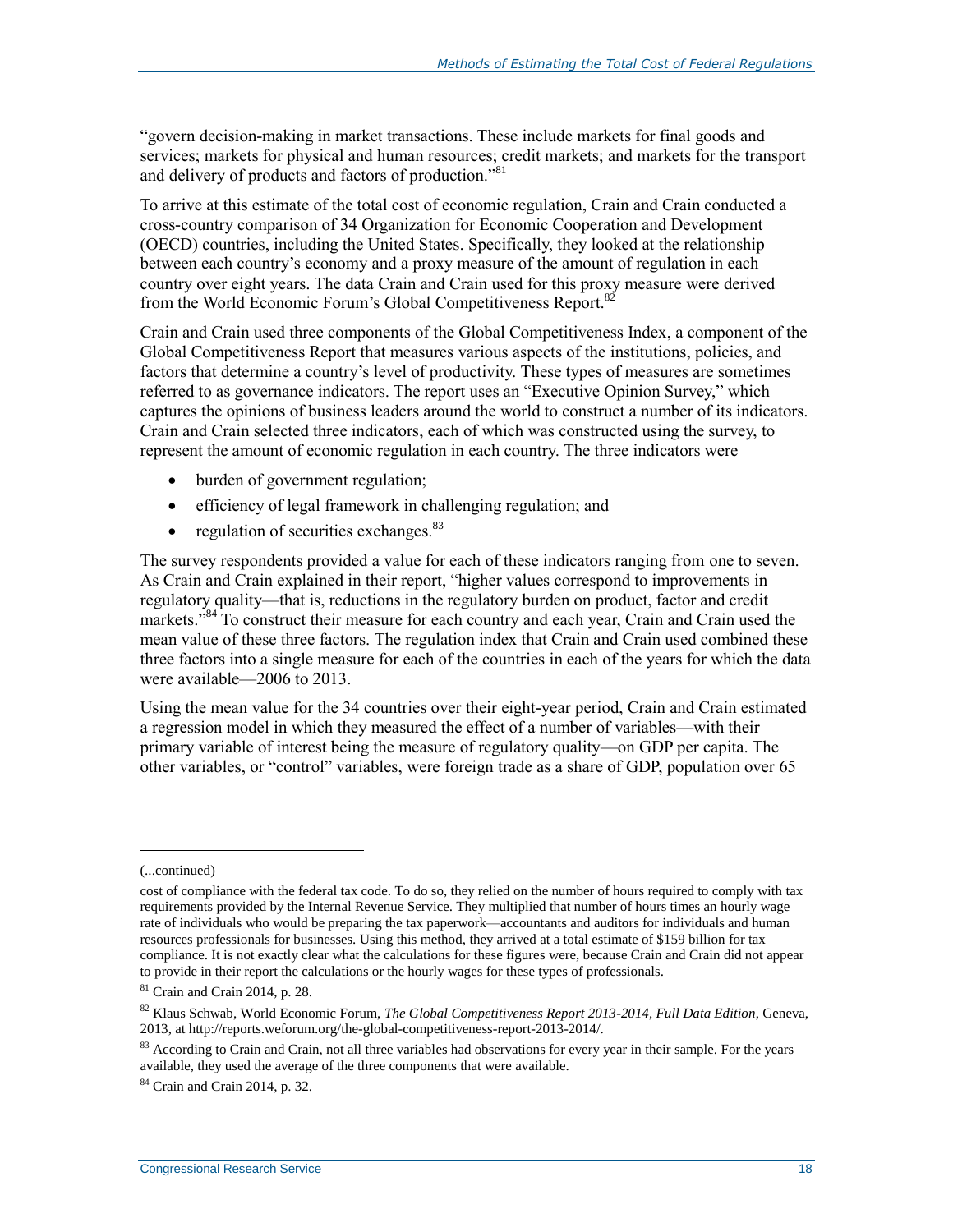"govern decision-making in market transactions. These include markets for final goods and services; markets for physical and human resources; credit markets; and markets for the transport and delivery of products and factors of production."<sup>81</sup>

To arrive at this estimate of the total cost of economic regulation, Crain and Crain conducted a cross-country comparison of 34 Organization for Economic Cooperation and Development (OECD) countries, including the United States. Specifically, they looked at the relationship between each country's economy and a proxy measure of the amount of regulation in each country over eight years. The data Crain and Crain used for this proxy measure were derived from the World Economic Forum's Global Competitiveness Report.<sup>82</sup>

Crain and Crain used three components of the Global Competitiveness Index, a component of the Global Competitiveness Report that measures various aspects of the institutions, policies, and factors that determine a country's level of productivity. These types of measures are sometimes referred to as governance indicators. The report uses an "Executive Opinion Survey," which captures the opinions of business leaders around the world to construct a number of its indicators. Crain and Crain selected three indicators, each of which was constructed using the survey, to represent the amount of economic regulation in each country. The three indicators were

- burden of government regulation;
- efficiency of legal framework in challenging regulation; and
- regulation of securities exchanges. $83$

The survey respondents provided a value for each of these indicators ranging from one to seven. As Crain and Crain explained in their report, "higher values correspond to improvements in regulatory quality—that is, reductions in the regulatory burden on product, factor and credit markets."<sup>84</sup> To construct their measure for each country and each year. Crain and Crain used the mean value of these three factors. The regulation index that Crain and Crain used combined these three factors into a single measure for each of the countries in each of the years for which the data were available—2006 to 2013.

Using the mean value for the 34 countries over their eight-year period, Crain and Crain estimated a regression model in which they measured the effect of a number of variables—with their primary variable of interest being the measure of regulatory quality—on GDP per capita. The other variables, or "control" variables, were foreign trade as a share of GDP, population over 65

<sup>(...</sup>continued)

cost of compliance with the federal tax code. To do so, they relied on the number of hours required to comply with tax requirements provided by the Internal Revenue Service. They multiplied that number of hours times an hourly wage rate of individuals who would be preparing the tax paperwork—accountants and auditors for individuals and human resources professionals for businesses. Using this method, they arrived at a total estimate of \$159 billion for tax compliance. It is not exactly clear what the calculations for these figures were, because Crain and Crain did not appear to provide in their report the calculations or the hourly wages for these types of professionals.

 $81$  Crain and Crain 2014, p. 28.

<sup>82</sup> Klaus Schwab, World Economic Forum, *The Global Competitiveness Report 2013-2014, Full Data Edition*, Geneva, 2013, at http://reports.weforum.org/the-global-competitiveness-report-2013-2014/.

 $83$  According to Crain and Crain, not all three variables had observations for every year in their sample. For the years available, they used the average of the three components that were available.

<sup>84</sup> Crain and Crain 2014, p. 32.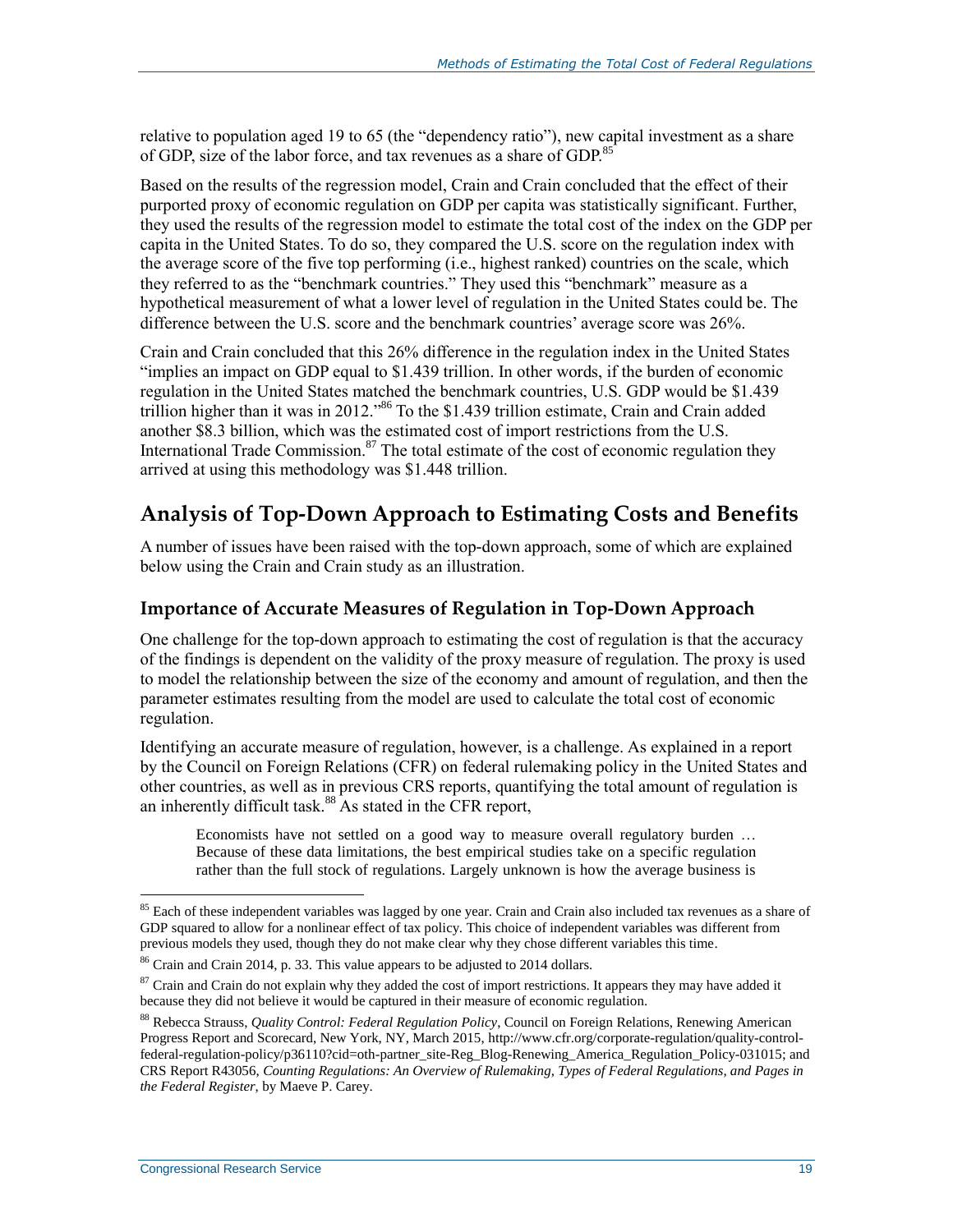relative to population aged 19 to 65 (the "dependency ratio"), new capital investment as a share of GDP, size of the labor force, and tax revenues as a share of GDP.<sup>85</sup>

Based on the results of the regression model, Crain and Crain concluded that the effect of their purported proxy of economic regulation on GDP per capita was statistically significant. Further, they used the results of the regression model to estimate the total cost of the index on the GDP per capita in the United States. To do so, they compared the U.S. score on the regulation index with the average score of the five top performing (i.e., highest ranked) countries on the scale, which they referred to as the "benchmark countries." They used this "benchmark" measure as a hypothetical measurement of what a lower level of regulation in the United States could be. The difference between the U.S. score and the benchmark countries' average score was 26%.

Crain and Crain concluded that this 26% difference in the regulation index in the United States "implies an impact on GDP equal to \$1.439 trillion. In other words, if the burden of economic regulation in the United States matched the benchmark countries, U.S. GDP would be \$1.439 trillion higher than it was in 2012."<sup>86</sup> To the \$1.439 trillion estimate, Crain and Crain added another \$8.3 billion, which was the estimated cost of import restrictions from the U.S. International Trade Commission. $87$  The total estimate of the cost of economic regulation they arrived at using this methodology was \$1.448 trillion.

### **Analysis of Top-Down Approach to Estimating Costs and Benefits**

A number of issues have been raised with the top-down approach, some of which are explained below using the Crain and Crain study as an illustration.

### **Importance of Accurate Measures of Regulation in Top-Down Approach**

One challenge for the top-down approach to estimating the cost of regulation is that the accuracy of the findings is dependent on the validity of the proxy measure of regulation. The proxy is used to model the relationship between the size of the economy and amount of regulation, and then the parameter estimates resulting from the model are used to calculate the total cost of economic regulation.

Identifying an accurate measure of regulation, however, is a challenge. As explained in a report by the Council on Foreign Relations (CFR) on federal rulemaking policy in the United States and other countries, as well as in previous CRS reports, quantifying the total amount of regulation is an inherently difficult task. $88$ As stated in the CFR report,

Economists have not settled on a good way to measure overall regulatory burden … Because of these data limitations, the best empirical studies take on a specific regulation rather than the full stock of regulations. Largely unknown is how the average business is

 $\overline{a}$  $85$  Each of these independent variables was lagged by one year. Crain and Crain also included tax revenues as a share of GDP squared to allow for a nonlinear effect of tax policy. This choice of independent variables was different from previous models they used, though they do not make clear why they chose different variables this time.

<sup>86</sup> Crain and Crain 2014, p. 33. This value appears to be adjusted to 2014 dollars.

<sup>&</sup>lt;sup>87</sup> Crain and Crain do not explain why they added the cost of import restrictions. It appears they may have added it because they did not believe it would be captured in their measure of economic regulation.

<sup>88</sup> Rebecca Strauss, *Quality Control: Federal Regulation Policy*, Council on Foreign Relations, Renewing American Progress Report and Scorecard, New York, NY, March 2015, http://www.cfr.org/corporate-regulation/quality-controlfederal-regulation-policy/p36110?cid=oth-partner\_site-Reg\_Blog-Renewing\_America\_Regulation\_Policy-031015; and CRS Report R43056, *Counting Regulations: An Overview of Rulemaking, Types of Federal Regulations, and Pages in the Federal Register*, by Maeve P. Carey.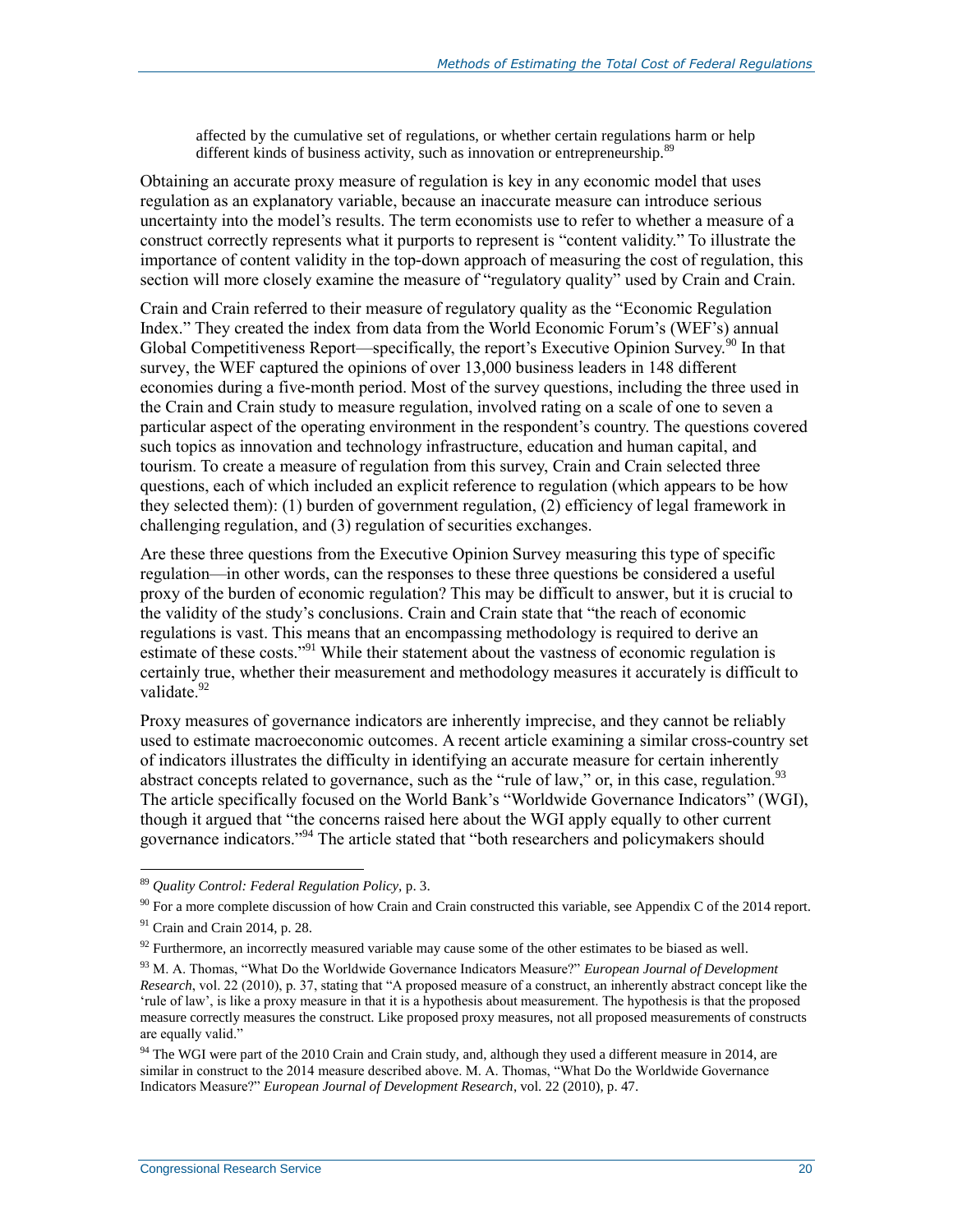affected by the cumulative set of regulations, or whether certain regulations harm or help different kinds of business activity, such as innovation or entrepreneurship.<sup>89</sup>

Obtaining an accurate proxy measure of regulation is key in any economic model that uses regulation as an explanatory variable, because an inaccurate measure can introduce serious uncertainty into the model's results. The term economists use to refer to whether a measure of a construct correctly represents what it purports to represent is "content validity." To illustrate the importance of content validity in the top-down approach of measuring the cost of regulation, this section will more closely examine the measure of "regulatory quality" used by Crain and Crain.

Crain and Crain referred to their measure of regulatory quality as the "Economic Regulation Index." They created the index from data from the World Economic Forum's (WEF's) annual Global Competitiveness Report—specifically, the report's Executive Opinion Survey.<sup>90</sup> In that survey, the WEF captured the opinions of over 13,000 business leaders in 148 different economies during a five-month period. Most of the survey questions, including the three used in the Crain and Crain study to measure regulation, involved rating on a scale of one to seven a particular aspect of the operating environment in the respondent's country. The questions covered such topics as innovation and technology infrastructure, education and human capital, and tourism. To create a measure of regulation from this survey, Crain and Crain selected three questions, each of which included an explicit reference to regulation (which appears to be how they selected them): (1) burden of government regulation, (2) efficiency of legal framework in challenging regulation, and (3) regulation of securities exchanges.

Are these three questions from the Executive Opinion Survey measuring this type of specific regulation—in other words, can the responses to these three questions be considered a useful proxy of the burden of economic regulation? This may be difficult to answer, but it is crucial to the validity of the study's conclusions. Crain and Crain state that "the reach of economic regulations is vast. This means that an encompassing methodology is required to derive an estimate of these costs."<sup>91</sup> While their statement about the vastness of economic regulation is certainly true, whether their measurement and methodology measures it accurately is difficult to validate<sup>92</sup>

Proxy measures of governance indicators are inherently imprecise, and they cannot be reliably used to estimate macroeconomic outcomes. A recent article examining a similar cross-country set of indicators illustrates the difficulty in identifying an accurate measure for certain inherently abstract concepts related to governance, such as the "rule of law," or, in this case, regulation.<sup>93</sup> The article specifically focused on the World Bank's "Worldwide Governance Indicators" (WGI), though it argued that "the concerns raised here about the WGI apply equally to other current governance indicators."<sup>94</sup> The article stated that "both researchers and policymakers should

<sup>89</sup> *Quality Control: Federal Regulation Policy,* p. 3.

 $90$  For a more complete discussion of how Crain and Crain constructed this variable, see Appendix C of the 2014 report.

 $91$  Crain and Crain 2014, p. 28.

 $92$  Furthermore, an incorrectly measured variable may cause some of the other estimates to be biased as well.

<sup>93</sup> M. A. Thomas, "What Do the Worldwide Governance Indicators Measure?" *European Journal of Development Research*, vol. 22 (2010), p. 37, stating that "A proposed measure of a construct, an inherently abstract concept like the 'rule of law', is like a proxy measure in that it is a hypothesis about measurement. The hypothesis is that the proposed measure correctly measures the construct. Like proposed proxy measures, not all proposed measurements of constructs are equally valid."

<sup>&</sup>lt;sup>94</sup> The WGI were part of the 2010 Crain and Crain study, and, although they used a different measure in 2014, are similar in construct to the 2014 measure described above. M. A. Thomas, "What Do the Worldwide Governance Indicators Measure?" *European Journal of Development Research*, vol. 22 (2010), p. 47.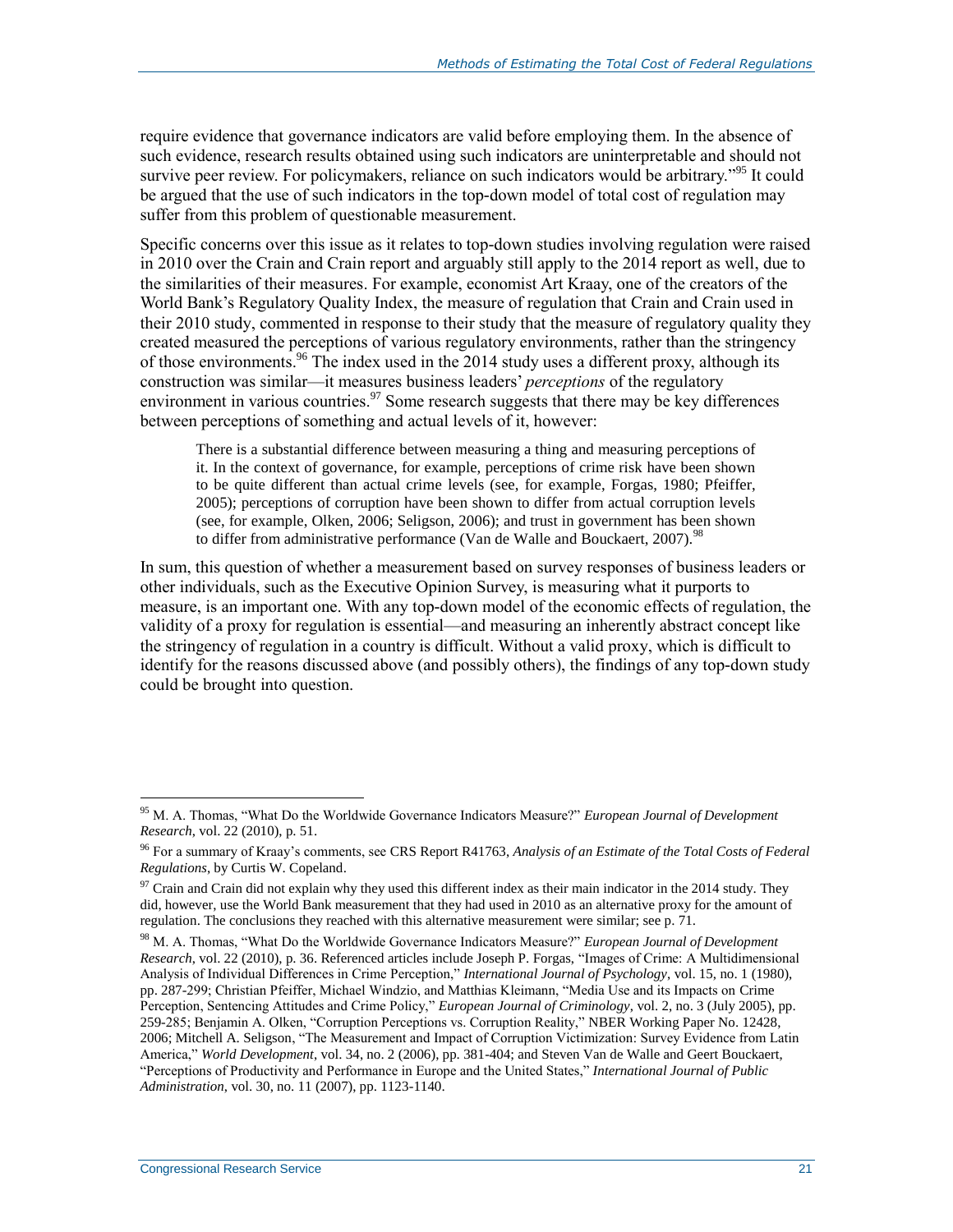require evidence that governance indicators are valid before employing them. In the absence of such evidence, research results obtained using such indicators are uninterpretable and should not survive peer review. For policymakers, reliance on such indicators would be arbitrary."<sup>95</sup> It could be argued that the use of such indicators in the top-down model of total cost of regulation may suffer from this problem of questionable measurement.

Specific concerns over this issue as it relates to top-down studies involving regulation were raised in 2010 over the Crain and Crain report and arguably still apply to the 2014 report as well, due to the similarities of their measures. For example, economist Art Kraay, one of the creators of the World Bank's Regulatory Quality Index, the measure of regulation that Crain and Crain used in their 2010 study, commented in response to their study that the measure of regulatory quality they created measured the perceptions of various regulatory environments, rather than the stringency of those environments.<sup>96</sup> The index used in the 2014 study uses a different proxy, although its construction was similar—it measures business leaders' *perceptions* of the regulatory environment in various countries.<sup>97</sup> Some research suggests that there may be key differences between perceptions of something and actual levels of it, however:

There is a substantial difference between measuring a thing and measuring perceptions of it. In the context of governance, for example, perceptions of crime risk have been shown to be quite different than actual crime levels (see, for example, Forgas, 1980; Pfeiffer, 2005); perceptions of corruption have been shown to differ from actual corruption levels (see, for example, Olken, 2006; Seligson, 2006); and trust in government has been shown to differ from administrative performance (Van de Walle and Bouckaert, 2007).<sup>98</sup>

In sum, this question of whether a measurement based on survey responses of business leaders or other individuals, such as the Executive Opinion Survey, is measuring what it purports to measure, is an important one. With any top-down model of the economic effects of regulation, the validity of a proxy for regulation is essential—and measuring an inherently abstract concept like the stringency of regulation in a country is difficult. Without a valid proxy, which is difficult to identify for the reasons discussed above (and possibly others), the findings of any top-down study could be brought into question.

<sup>95</sup> M. A. Thomas, "What Do the Worldwide Governance Indicators Measure?" *European Journal of Development Research*, vol. 22 (2010), p. 51.

<sup>96</sup> For a summary of Kraay's comments, see CRS Report R41763, *Analysis of an Estimate of the Total Costs of Federal Regulations*, by Curtis W. Copeland.

 $97$  Crain and Crain did not explain why they used this different index as their main indicator in the 2014 study. They did, however, use the World Bank measurement that they had used in 2010 as an alternative proxy for the amount of regulation. The conclusions they reached with this alternative measurement were similar; see p. 71.

<sup>98</sup> M. A. Thomas, "What Do the Worldwide Governance Indicators Measure?" *European Journal of Development Research*, vol. 22 (2010), p. 36. Referenced articles include Joseph P. Forgas, "Images of Crime: A Multidimensional Analysis of Individual Differences in Crime Perception," *International Journal of Psychology*, vol. 15, no. 1 (1980), pp. 287-299; Christian Pfeiffer, Michael Windzio, and Matthias Kleimann, "Media Use and its Impacts on Crime Perception, Sentencing Attitudes and Crime Policy," *European Journal of Criminology*, vol. 2, no. 3 (July 2005), pp. 259-285; Benjamin A. Olken, "Corruption Perceptions vs. Corruption Reality," NBER Working Paper No. 12428, 2006; Mitchell A. Seligson, "The Measurement and Impact of Corruption Victimization: Survey Evidence from Latin America," *World Development*, vol. 34, no. 2 (2006), pp. 381-404; and Steven Van de Walle and Geert Bouckaert, "Perceptions of Productivity and Performance in Europe and the United States," *International Journal of Public Administration*, vol. 30, no. 11 (2007), pp. 1123-1140.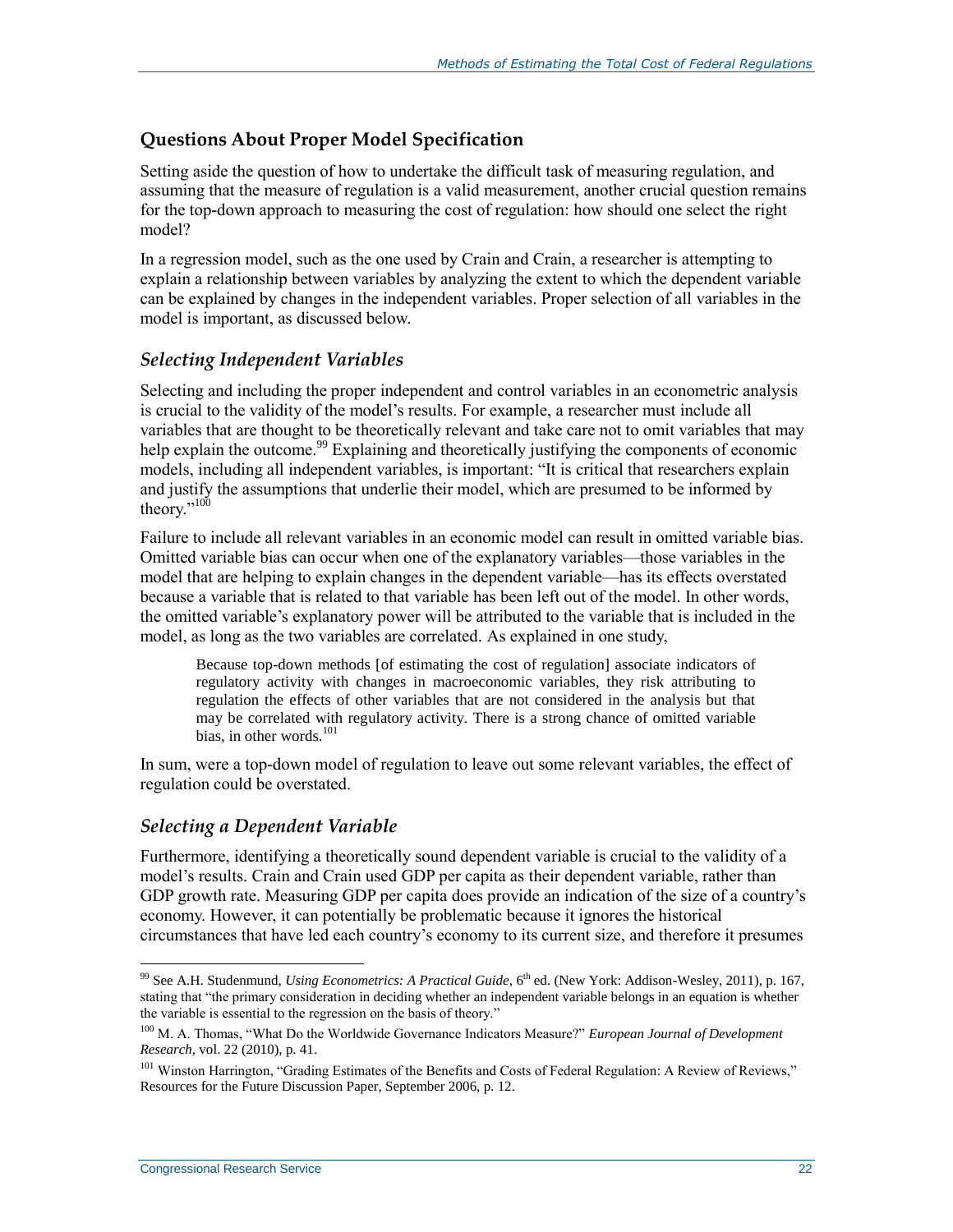### **Questions About Proper Model Specification**

Setting aside the question of how to undertake the difficult task of measuring regulation, and assuming that the measure of regulation is a valid measurement, another crucial question remains for the top-down approach to measuring the cost of regulation: how should one select the right model?

In a regression model, such as the one used by Crain and Crain, a researcher is attempting to explain a relationship between variables by analyzing the extent to which the dependent variable can be explained by changes in the independent variables. Proper selection of all variables in the model is important, as discussed below.

### *Selecting Independent Variables*

Selecting and including the proper independent and control variables in an econometric analysis is crucial to the validity of the model's results. For example, a researcher must include all variables that are thought to be theoretically relevant and take care not to omit variables that may help explain the outcome.<sup>99</sup> Explaining and theoretically justifying the components of economic models, including all independent variables, is important: "It is critical that researchers explain and justify the assumptions that underlie their model, which are presumed to be informed by theory."<sup>100</sup>

Failure to include all relevant variables in an economic model can result in omitted variable bias. Omitted variable bias can occur when one of the explanatory variables—those variables in the model that are helping to explain changes in the dependent variable—has its effects overstated because a variable that is related to that variable has been left out of the model. In other words, the omitted variable's explanatory power will be attributed to the variable that is included in the model, as long as the two variables are correlated. As explained in one study,

Because top-down methods [of estimating the cost of regulation] associate indicators of regulatory activity with changes in macroeconomic variables, they risk attributing to regulation the effects of other variables that are not considered in the analysis but that may be correlated with regulatory activity. There is a strong chance of omitted variable bias, in other words.<sup>101</sup>

In sum, were a top-down model of regulation to leave out some relevant variables, the effect of regulation could be overstated.

### *Selecting a Dependent Variable*

Furthermore, identifying a theoretically sound dependent variable is crucial to the validity of a model's results. Crain and Crain used GDP per capita as their dependent variable, rather than GDP growth rate. Measuring GDP per capita does provide an indication of the size of a country's economy. However, it can potentially be problematic because it ignores the historical circumstances that have led each country's economy to its current size, and therefore it presumes

<sup>&</sup>lt;sup>99</sup> See A.H. Studenmund, *Using Econometrics: A Practical Guide*, 6<sup>th</sup> ed. (New York: Addison-Wesley, 2011), p. 167, stating that "the primary consideration in deciding whether an independent variable belongs in an equation is whether the variable is essential to the regression on the basis of theory."

<sup>100</sup> M. A. Thomas, "What Do the Worldwide Governance Indicators Measure?" *European Journal of Development Research*, vol. 22 (2010), p. 41.

<sup>&</sup>lt;sup>101</sup> Winston Harrington, "Grading Estimates of the Benefits and Costs of Federal Regulation: A Review of Reviews," Resources for the Future Discussion Paper, September 2006, p. 12.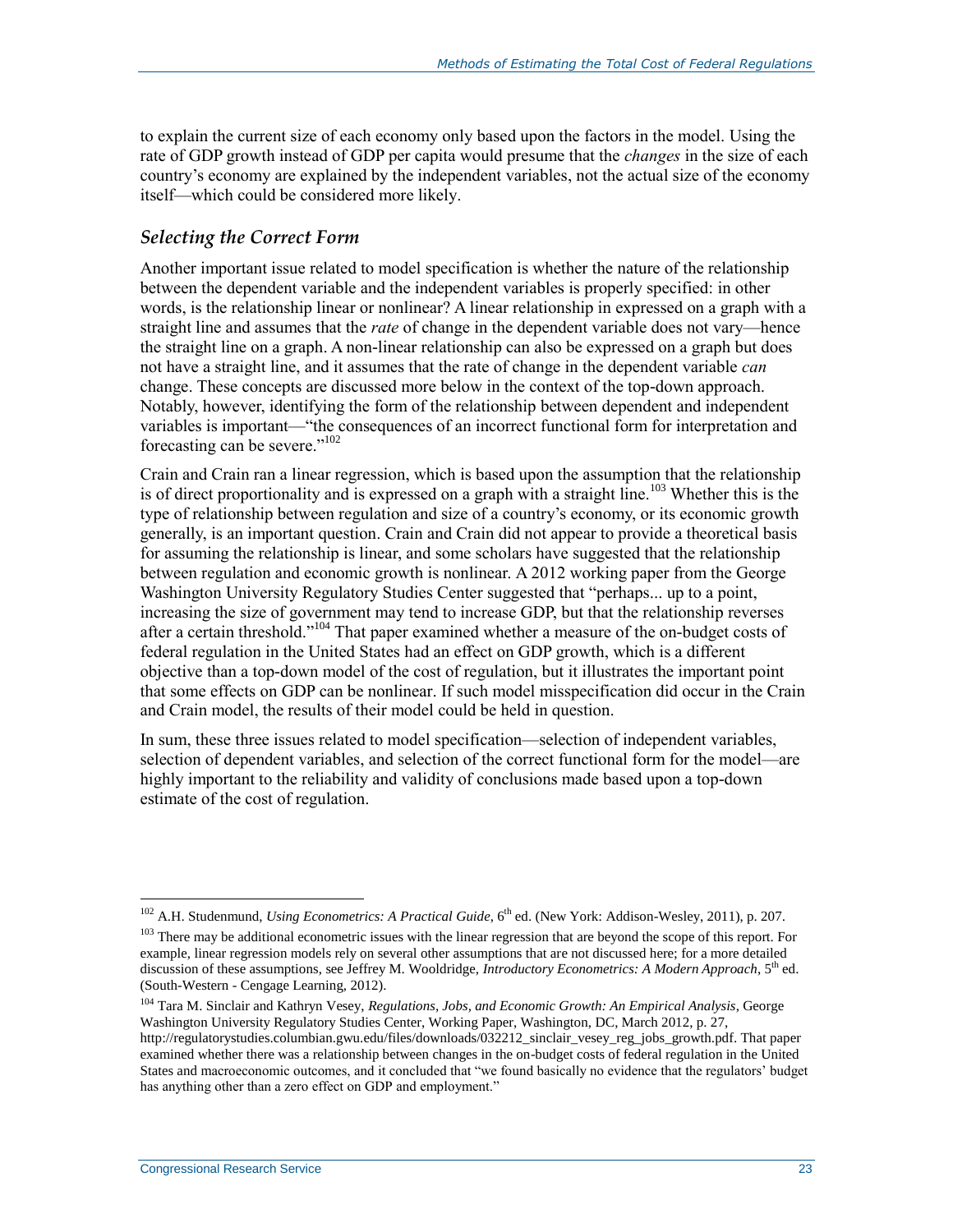to explain the current size of each economy only based upon the factors in the model. Using the rate of GDP growth instead of GDP per capita would presume that the *changes* in the size of each country's economy are explained by the independent variables, not the actual size of the economy itself—which could be considered more likely.

#### *Selecting the Correct Form*

Another important issue related to model specification is whether the nature of the relationship between the dependent variable and the independent variables is properly specified: in other words, is the relationship linear or nonlinear? A linear relationship in expressed on a graph with a straight line and assumes that the *rate* of change in the dependent variable does not vary—hence the straight line on a graph. A non-linear relationship can also be expressed on a graph but does not have a straight line, and it assumes that the rate of change in the dependent variable *can* change. These concepts are discussed more below in the context of the top-down approach. Notably, however, identifying the form of the relationship between dependent and independent variables is important—"the consequences of an incorrect functional form for interpretation and forecasting can be severe."<sup>102</sup>

Crain and Crain ran a linear regression, which is based upon the assumption that the relationship is of direct proportionality and is expressed on a graph with a straight line.<sup>103</sup> Whether this is the type of relationship between regulation and size of a country's economy, or its economic growth generally, is an important question. Crain and Crain did not appear to provide a theoretical basis for assuming the relationship is linear, and some scholars have suggested that the relationship between regulation and economic growth is nonlinear. A 2012 working paper from the George Washington University Regulatory Studies Center suggested that "perhaps... up to a point, increasing the size of government may tend to increase GDP, but that the relationship reverses after a certain threshold."<sup>104</sup> That paper examined whether a measure of the on-budget costs of federal regulation in the United States had an effect on GDP growth, which is a different objective than a top-down model of the cost of regulation, but it illustrates the important point that some effects on GDP can be nonlinear. If such model misspecification did occur in the Crain and Crain model, the results of their model could be held in question.

In sum, these three issues related to model specification—selection of independent variables, selection of dependent variables, and selection of the correct functional form for the model—are highly important to the reliability and validity of conclusions made based upon a top-down estimate of the cost of regulation.

<sup>&</sup>lt;sup>102</sup> A.H. Studenmund, *Using Econometrics: A Practical Guide*, 6<sup>th</sup> ed. (New York: Addison-Wesley, 2011), p. 207.

<sup>&</sup>lt;sup>103</sup> There may be additional econometric issues with the linear regression that are beyond the scope of this report. For example, linear regression models rely on several other assumptions that are not discussed here; for a more detailed discussion of these assumptions, see Jeffrey M. Wooldridge, *Introductory Econometrics: A Modern Approach*, 5th ed. (South-Western - Cengage Learning, 2012).

<sup>104</sup> Tara M. Sinclair and Kathryn Vesey, *Regulations, Jobs, and Economic Growth: An Empirical Analysis*, George Washington University Regulatory Studies Center, Working Paper, Washington, DC, March 2012, p. 27, http://regulatorystudies.columbian.gwu.edu/files/downloads/032212\_sinclair\_vesey\_reg\_jobs\_growth.pdf. That paper examined whether there was a relationship between changes in the on-budget costs of federal regulation in the United States and macroeconomic outcomes, and it concluded that "we found basically no evidence that the regulators' budget has anything other than a zero effect on GDP and employment."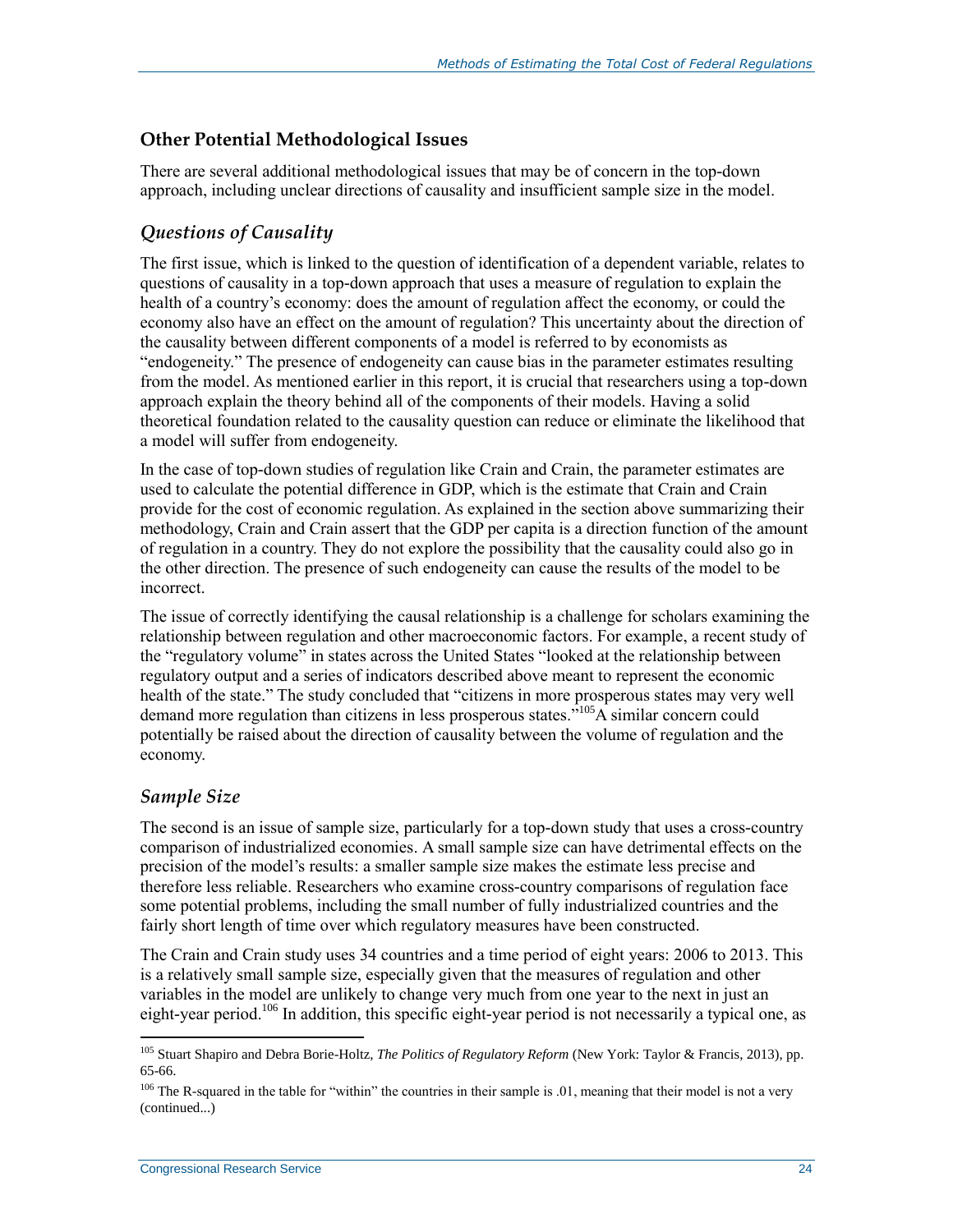### **Other Potential Methodological Issues**

There are several additional methodological issues that may be of concern in the top-down approach, including unclear directions of causality and insufficient sample size in the model.

### *Questions of Causality*

The first issue, which is linked to the question of identification of a dependent variable, relates to questions of causality in a top-down approach that uses a measure of regulation to explain the health of a country's economy: does the amount of regulation affect the economy, or could the economy also have an effect on the amount of regulation? This uncertainty about the direction of the causality between different components of a model is referred to by economists as "endogeneity." The presence of endogeneity can cause bias in the parameter estimates resulting from the model. As mentioned earlier in this report, it is crucial that researchers using a top-down approach explain the theory behind all of the components of their models. Having a solid theoretical foundation related to the causality question can reduce or eliminate the likelihood that a model will suffer from endogeneity.

In the case of top-down studies of regulation like Crain and Crain, the parameter estimates are used to calculate the potential difference in GDP, which is the estimate that Crain and Crain provide for the cost of economic regulation. As explained in the section above summarizing their methodology, Crain and Crain assert that the GDP per capita is a direction function of the amount of regulation in a country. They do not explore the possibility that the causality could also go in the other direction. The presence of such endogeneity can cause the results of the model to be incorrect.

The issue of correctly identifying the causal relationship is a challenge for scholars examining the relationship between regulation and other macroeconomic factors. For example, a recent study of the "regulatory volume" in states across the United States "looked at the relationship between regulatory output and a series of indicators described above meant to represent the economic health of the state." The study concluded that "citizens in more prosperous states may very well demand more regulation than citizens in less prosperous states.<sup>"105</sup>A similar concern could potentially be raised about the direction of causality between the volume of regulation and the economy.

### *Sample Size*

 $\overline{a}$ 

The second is an issue of sample size, particularly for a top-down study that uses a cross-country comparison of industrialized economies. A small sample size can have detrimental effects on the precision of the model's results: a smaller sample size makes the estimate less precise and therefore less reliable. Researchers who examine cross-country comparisons of regulation face some potential problems, including the small number of fully industrialized countries and the fairly short length of time over which regulatory measures have been constructed.

The Crain and Crain study uses 34 countries and a time period of eight years: 2006 to 2013. This is a relatively small sample size, especially given that the measures of regulation and other variables in the model are unlikely to change very much from one year to the next in just an eight-year period.<sup>106</sup> In addition, this specific eight-year period is not necessarily a typical one, as

<sup>105</sup> Stuart Shapiro and Debra Borie-Holtz, *The Politics of Regulatory Reform* (New York: Taylor & Francis, 2013), pp. 65-66.

 $106$  The R-squared in the table for "within" the countries in their sample is .01, meaning that their model is not a very (continued...)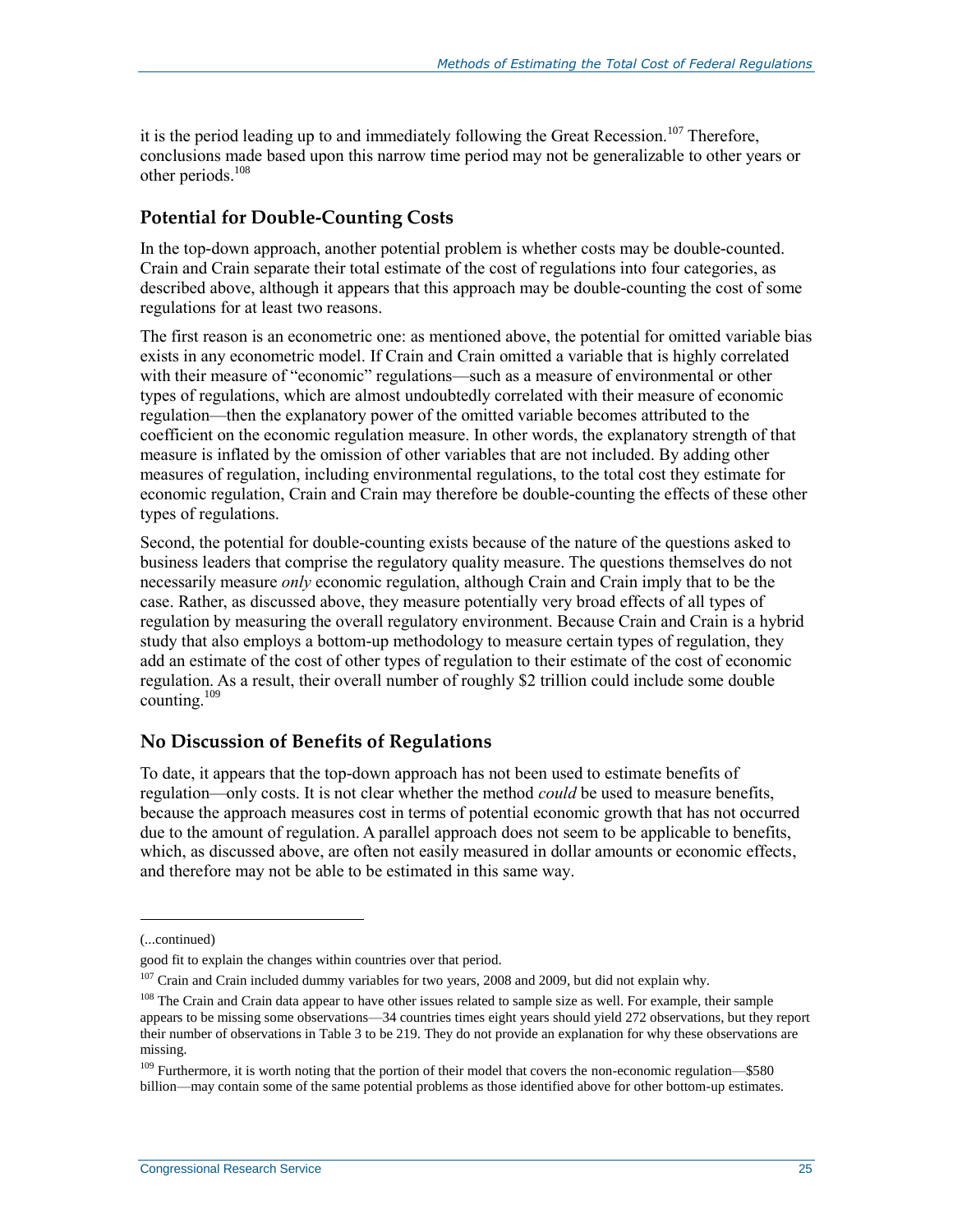it is the period leading up to and immediately following the Great Recession.<sup>107</sup> Therefore, conclusions made based upon this narrow time period may not be generalizable to other years or other periods. 108

### **Potential for Double-Counting Costs**

In the top-down approach, another potential problem is whether costs may be double-counted. Crain and Crain separate their total estimate of the cost of regulations into four categories, as described above, although it appears that this approach may be double-counting the cost of some regulations for at least two reasons.

The first reason is an econometric one: as mentioned above, the potential for omitted variable bias exists in any econometric model. If Crain and Crain omitted a variable that is highly correlated with their measure of "economic" regulations—such as a measure of environmental or other types of regulations, which are almost undoubtedly correlated with their measure of economic regulation—then the explanatory power of the omitted variable becomes attributed to the coefficient on the economic regulation measure. In other words, the explanatory strength of that measure is inflated by the omission of other variables that are not included. By adding other measures of regulation, including environmental regulations, to the total cost they estimate for economic regulation, Crain and Crain may therefore be double-counting the effects of these other types of regulations.

Second, the potential for double-counting exists because of the nature of the questions asked to business leaders that comprise the regulatory quality measure. The questions themselves do not necessarily measure *only* economic regulation, although Crain and Crain imply that to be the case. Rather, as discussed above, they measure potentially very broad effects of all types of regulation by measuring the overall regulatory environment. Because Crain and Crain is a hybrid study that also employs a bottom-up methodology to measure certain types of regulation, they add an estimate of the cost of other types of regulation to their estimate of the cost of economic regulation. As a result, their overall number of roughly \$2 trillion could include some double counting.<sup>109</sup>

### **No Discussion of Benefits of Regulations**

To date, it appears that the top-down approach has not been used to estimate benefits of regulation—only costs. It is not clear whether the method *could* be used to measure benefits, because the approach measures cost in terms of potential economic growth that has not occurred due to the amount of regulation. A parallel approach does not seem to be applicable to benefits, which, as discussed above, are often not easily measured in dollar amounts or economic effects, and therefore may not be able to be estimated in this same way.

l

<sup>(...</sup>continued)

good fit to explain the changes within countries over that period.

<sup>&</sup>lt;sup>107</sup> Crain and Crain included dummy variables for two years, 2008 and 2009, but did not explain why.

<sup>&</sup>lt;sup>108</sup> The Crain and Crain data appear to have other issues related to sample size as well. For example, their sample appears to be missing some observations—34 countries times eight years should yield 272 observations, but they report their number of observations in Table 3 to be 219. They do not provide an explanation for why these observations are missing.

<sup>&</sup>lt;sup>109</sup> Furthermore, it is worth noting that the portion of their model that covers the non-economic regulation—\$580 billion—may contain some of the same potential problems as those identified above for other bottom-up estimates.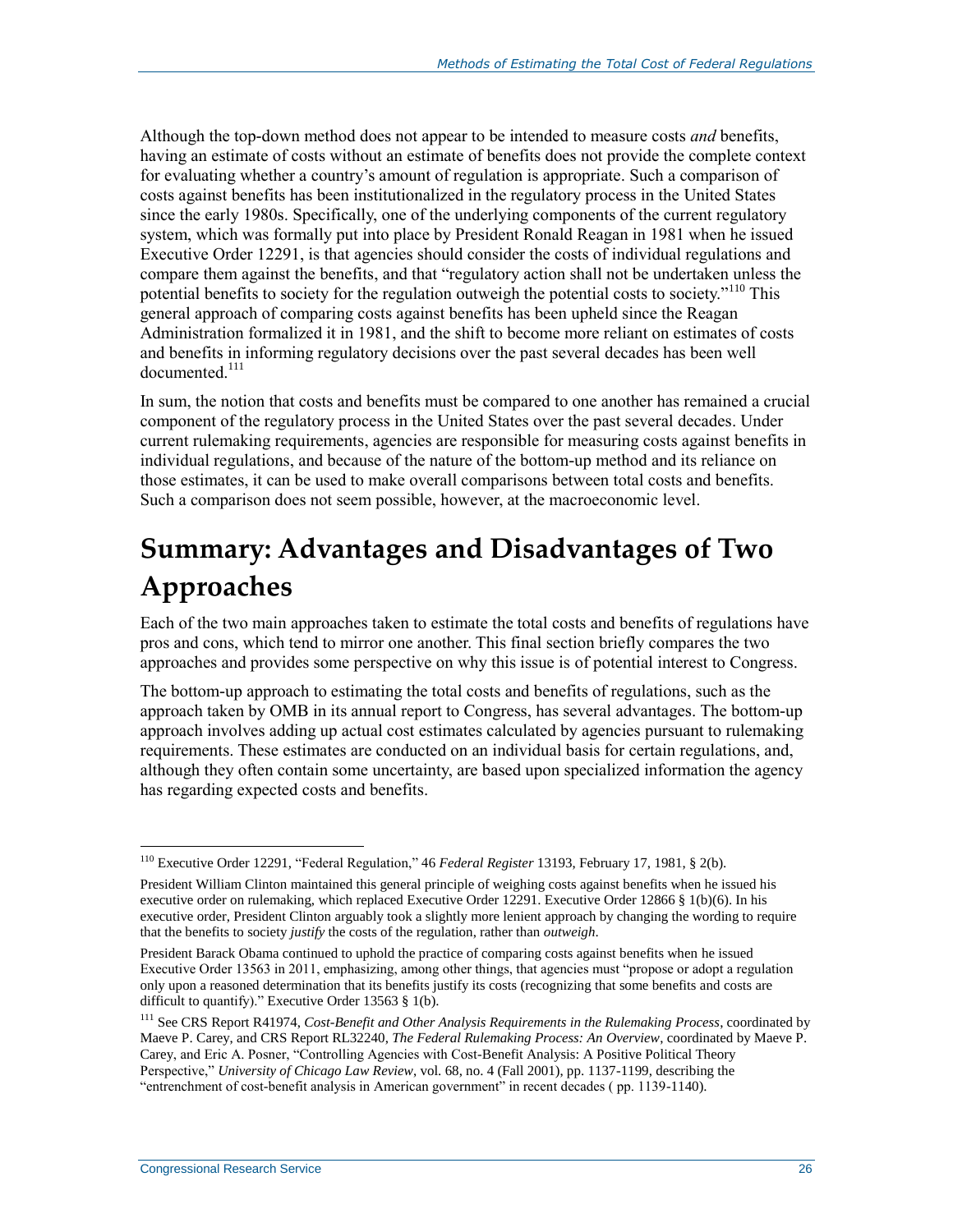Although the top-down method does not appear to be intended to measure costs *and* benefits, having an estimate of costs without an estimate of benefits does not provide the complete context for evaluating whether a country's amount of regulation is appropriate. Such a comparison of costs against benefits has been institutionalized in the regulatory process in the United States since the early 1980s. Specifically, one of the underlying components of the current regulatory system, which was formally put into place by President Ronald Reagan in 1981 when he issued Executive Order 12291, is that agencies should consider the costs of individual regulations and compare them against the benefits, and that "regulatory action shall not be undertaken unless the potential benefits to society for the regulation outweigh the potential costs to society."<sup>110</sup> This general approach of comparing costs against benefits has been upheld since the Reagan Administration formalized it in 1981, and the shift to become more reliant on estimates of costs and benefits in informing regulatory decisions over the past several decades has been well documented<sup>111</sup>

In sum, the notion that costs and benefits must be compared to one another has remained a crucial component of the regulatory process in the United States over the past several decades. Under current rulemaking requirements, agencies are responsible for measuring costs against benefits in individual regulations, and because of the nature of the bottom-up method and its reliance on those estimates, it can be used to make overall comparisons between total costs and benefits. Such a comparison does not seem possible, however, at the macroeconomic level.

## **Summary: Advantages and Disadvantages of Two Approaches**

Each of the two main approaches taken to estimate the total costs and benefits of regulations have pros and cons, which tend to mirror one another. This final section briefly compares the two approaches and provides some perspective on why this issue is of potential interest to Congress.

The bottom-up approach to estimating the total costs and benefits of regulations, such as the approach taken by OMB in its annual report to Congress, has several advantages. The bottom-up approach involves adding up actual cost estimates calculated by agencies pursuant to rulemaking requirements. These estimates are conducted on an individual basis for certain regulations, and, although they often contain some uncertainty, are based upon specialized information the agency has regarding expected costs and benefits.

<sup>110</sup> Executive Order 12291, "Federal Regulation," 46 *Federal Register* 13193, February 17, 1981, § 2(b).

President William Clinton maintained this general principle of weighing costs against benefits when he issued his executive order on rulemaking, which replaced Executive Order 12291. Executive Order 12866 § 1(b)(6). In his executive order, President Clinton arguably took a slightly more lenient approach by changing the wording to require that the benefits to society *justify* the costs of the regulation, rather than *outweigh*.

President Barack Obama continued to uphold the practice of comparing costs against benefits when he issued Executive Order 13563 in 2011, emphasizing, among other things, that agencies must "propose or adopt a regulation only upon a reasoned determination that its benefits justify its costs (recognizing that some benefits and costs are difficult to quantify)." Executive Order 13563 § 1(b).

<sup>111</sup> See CRS Report R41974, *Cost-Benefit and Other Analysis Requirements in the Rulemaking Process*, coordinated by Maeve P. Carey, and CRS Report RL32240, *The Federal Rulemaking Process: An Overview*, coordinated by Maeve P. Carey, and Eric A. Posner, "Controlling Agencies with Cost-Benefit Analysis: A Positive Political Theory Perspective," *University of Chicago Law Review*, vol. 68, no. 4 (Fall 2001), pp. 1137-1199, describing the "entrenchment of cost-benefit analysis in American government" in recent decades ( pp. 1139-1140).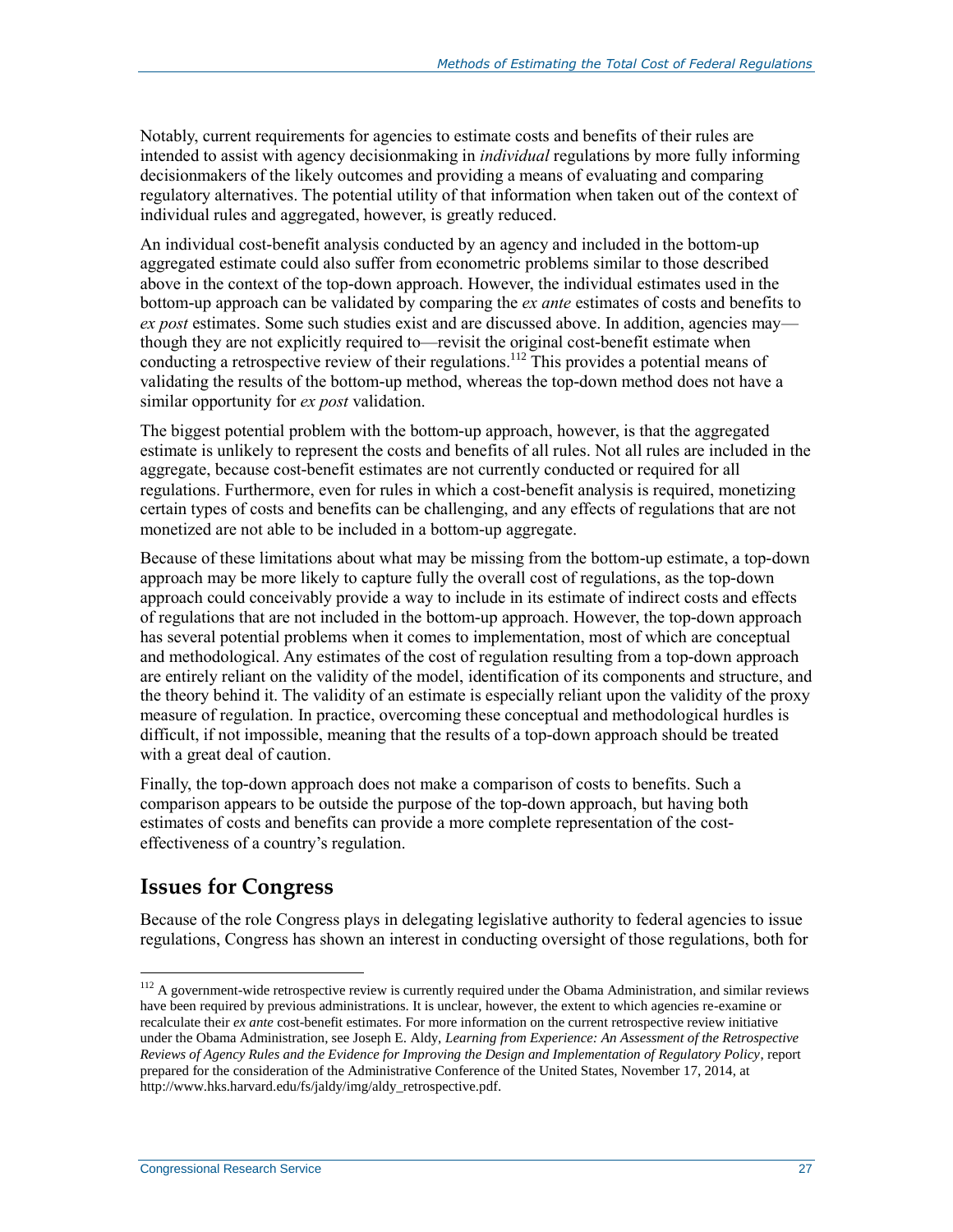Notably, current requirements for agencies to estimate costs and benefits of their rules are intended to assist with agency decisionmaking in *individual* regulations by more fully informing decisionmakers of the likely outcomes and providing a means of evaluating and comparing regulatory alternatives. The potential utility of that information when taken out of the context of individual rules and aggregated, however, is greatly reduced.

An individual cost-benefit analysis conducted by an agency and included in the bottom-up aggregated estimate could also suffer from econometric problems similar to those described above in the context of the top-down approach. However, the individual estimates used in the bottom-up approach can be validated by comparing the *ex ante* estimates of costs and benefits to *ex post* estimates. Some such studies exist and are discussed above. In addition, agencies may though they are not explicitly required to—revisit the original cost-benefit estimate when conducting a retrospective review of their regulations.<sup>112</sup> This provides a potential means of validating the results of the bottom-up method, whereas the top-down method does not have a similar opportunity for *ex post* validation.

The biggest potential problem with the bottom-up approach, however, is that the aggregated estimate is unlikely to represent the costs and benefits of all rules. Not all rules are included in the aggregate, because cost-benefit estimates are not currently conducted or required for all regulations. Furthermore, even for rules in which a cost-benefit analysis is required, monetizing certain types of costs and benefits can be challenging, and any effects of regulations that are not monetized are not able to be included in a bottom-up aggregate.

Because of these limitations about what may be missing from the bottom-up estimate, a top-down approach may be more likely to capture fully the overall cost of regulations, as the top-down approach could conceivably provide a way to include in its estimate of indirect costs and effects of regulations that are not included in the bottom-up approach. However, the top-down approach has several potential problems when it comes to implementation, most of which are conceptual and methodological. Any estimates of the cost of regulation resulting from a top-down approach are entirely reliant on the validity of the model, identification of its components and structure, and the theory behind it. The validity of an estimate is especially reliant upon the validity of the proxy measure of regulation. In practice, overcoming these conceptual and methodological hurdles is difficult, if not impossible, meaning that the results of a top-down approach should be treated with a great deal of caution.

Finally, the top-down approach does not make a comparison of costs to benefits. Such a comparison appears to be outside the purpose of the top-down approach, but having both estimates of costs and benefits can provide a more complete representation of the costeffectiveness of a country's regulation.

### **Issues for Congress**

 $\overline{a}$ 

Because of the role Congress plays in delegating legislative authority to federal agencies to issue regulations, Congress has shown an interest in conducting oversight of those regulations, both for

 $112$  A government-wide retrospective review is currently required under the Obama Administration, and similar reviews have been required by previous administrations. It is unclear, however, the extent to which agencies re-examine or recalculate their *ex ante* cost-benefit estimates. For more information on the current retrospective review initiative under the Obama Administration, see Joseph E. Aldy, *Learning from Experience: An Assessment of the Retrospective Reviews of Agency Rules and the Evidence for Improving the Design and Implementation of Regulatory Policy*, report prepared for the consideration of the Administrative Conference of the United States, November 17, 2014, at http://www.hks.harvard.edu/fs/jaldy/img/aldy\_retrospective.pdf.